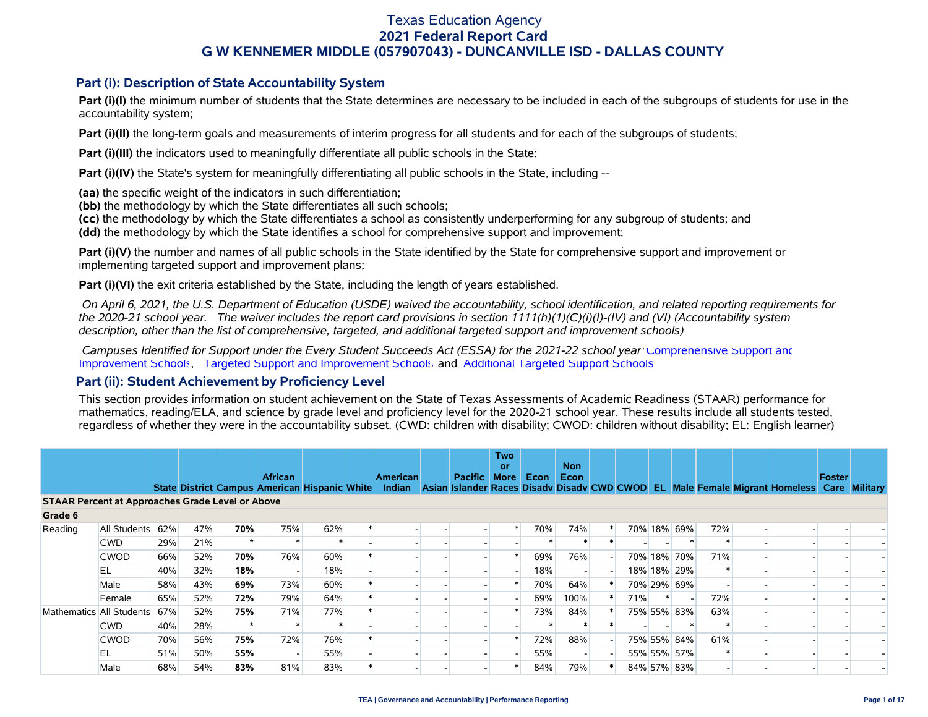#### **Part (i): Description of State Accountability System**

Part (i)(I) the minimum number of students that the State determines are necessary to be included in each of the subgroups of students for use in the accountability system;

**Part (i)(II)** the long-term goals and measurements of interim progress for all students and for each of the subgroups of students;

**Part (i)(III)** the indicators used to meaningfully differentiate all public schools in the State;

**Part (i)(IV)** the State's system for meaningfully differentiating all public schools in the State, including --

**(aa)** the specific weight of the indicators in such differentiation;

**(bb)** the methodology by which the State differentiates all such schools;

**(cc)** the methodology by which the State differentiates a school as consistently underperforming for any subgroup of students; and

**(dd)** the methodology by which the State identifies a school for comprehensive support and improvement;

**Part (i)(V)** the number and names of all public schools in the State identified by the State for comprehensive support and improvement or implementing targeted support and improvement plans;

**Part (i)(VI)** the exit criteria established by the State, including the length of years established.

 *On April 6, 2021, the U.S. Department of Education (USDE) waived the accountability, school identification, and related reporting requirements for the 2020-21 school year. The waiver includes the report card provisions in section 1111(h)(1)(C)(i)(I)-(IV) and (VI) (Accountability system description, other than the list of comprehensive, targeted, and additional targeted support and improvement schools)* 

 *Campuses Identified for Support under the Every Student Succeeds Act (ESSA) for the 2021-22 school year:* [Comprehensive Support and](https://tea.texas.gov/sites/default/files/comprehensive_support_2021.xlsx) [Improvement Schools](https://tea.texas.gov/sites/default/files/comprehensive_support_2021.xlsx), [Targeted Support and Improvement Schools](https://tea.texas.gov/sites/default/files/targeted_support_2021.xlsx) and [Additional Targeted Support Schools.](https://tea.texas.gov/sites/default/files/additional_targeted_support_2021.xlsx)

#### **Part (ii): Student Achievement by Proficiency Level**

This section provides information on student achievement on the State of Texas Assessments of Academic Readiness (STAAR) performance for mathematics, reading/ELA, and science by grade level and proficiency level for the 2020-21 school year. These results include all students tested, regardless of whether they were in the accountability subset. (CWD: children with disability; CWOD: children without disability; EL: English learner)

|                                                         |                          |     |     |     | <b>African</b> |     | <b>American</b> | <b>Pacific</b> | <b>Two</b><br>or<br><b>More</b> | Econ | <b>Non</b><br>Econ |     |             |     |                                                                                                                                                | Foster |  |
|---------------------------------------------------------|--------------------------|-----|-----|-----|----------------|-----|-----------------|----------------|---------------------------------|------|--------------------|-----|-------------|-----|------------------------------------------------------------------------------------------------------------------------------------------------|--------|--|
|                                                         |                          |     |     |     |                |     |                 |                |                                 |      |                    |     |             |     | State District Campus American Hispanic White Indian Asian Islander Races Disady Disady CWD CWOD EL Male Female Migrant Homeless Care Military |        |  |
| <b>STAAR Percent at Approaches Grade Level or Above</b> |                          |     |     |     |                |     |                 |                |                                 |      |                    |     |             |     |                                                                                                                                                |        |  |
| Grade 6                                                 |                          |     |     |     |                |     |                 |                |                                 |      |                    |     |             |     |                                                                                                                                                |        |  |
| Reading                                                 | All Students             | 62% | 47% | 70% | 75%            | 62% |                 |                |                                 | 70%  | 74%                |     | 70% 18% 69% | 72% |                                                                                                                                                |        |  |
|                                                         | <b>CWD</b>               | 29% | 21% |     |                |     |                 |                |                                 |      |                    |     |             |     |                                                                                                                                                |        |  |
|                                                         | <b>CWOD</b>              | 66% | 52% | 70% | 76%            | 60% |                 |                |                                 | 69%  | 76%                |     | 70% 18% 70% | 71% |                                                                                                                                                |        |  |
|                                                         | EL                       | 40% | 32% | 18% |                | 18% |                 |                |                                 | 18%  |                    |     | 18% 18% 29% |     |                                                                                                                                                |        |  |
|                                                         | Male                     | 58% | 43% | 69% | 73%            | 60% |                 |                |                                 | 70%  | 64%                |     | 70% 29% 69% |     |                                                                                                                                                |        |  |
|                                                         | Female                   | 65% | 52% | 72% | 79%            | 64% |                 |                |                                 | 69%  | 100%               | 71% |             | 72% |                                                                                                                                                |        |  |
|                                                         | Mathematics All Students | 67% | 52% | 75% | 71%            | 77% |                 |                |                                 | 73%  | 84%                |     | 75% 55% 83% | 63% |                                                                                                                                                |        |  |
|                                                         | <b>CWD</b>               | 40% | 28% |     |                |     |                 |                |                                 |      |                    |     |             |     |                                                                                                                                                |        |  |
|                                                         | <b>CWOD</b>              | 70% | 56% | 75% | 72%            | 76% |                 |                |                                 | 72%  | 88%                |     | 75% 55% 84% | 61% |                                                                                                                                                |        |  |
|                                                         | EL                       | 51% | 50% | 55% |                | 55% |                 |                |                                 | 55%  |                    |     | 55% 55% 57% |     |                                                                                                                                                |        |  |
|                                                         | Male                     | 68% | 54% | 83% | 81%            | 83% |                 |                |                                 | 84%  | 79%                |     | 84% 57% 83% |     |                                                                                                                                                |        |  |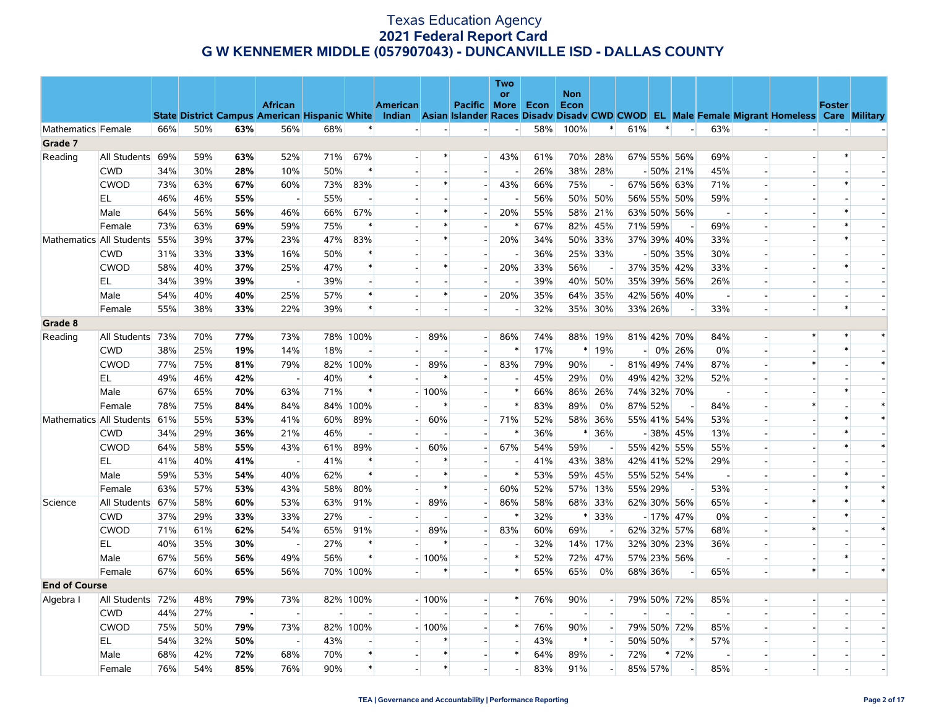|                      |                          |     |     |     |                          |     |          |                          |         |                          | Two                      |     |                    |                          |         |         |                          |                          |                          |                                                                                                                                                |               |        |
|----------------------|--------------------------|-----|-----|-----|--------------------------|-----|----------|--------------------------|---------|--------------------------|--------------------------|-----|--------------------|--------------------------|---------|---------|--------------------------|--------------------------|--------------------------|------------------------------------------------------------------------------------------------------------------------------------------------|---------------|--------|
|                      |                          |     |     |     | <b>African</b>           |     |          | <b>American</b>          |         | <b>Pacific More Econ</b> | <b>or</b>                |     | <b>Non</b><br>Econ |                          |         |         |                          |                          |                          |                                                                                                                                                | <b>Foster</b> |        |
|                      |                          |     |     |     |                          |     |          |                          |         |                          |                          |     |                    |                          |         |         |                          |                          |                          | State District Campus American Hispanic White Indian Asian Islander Races Disady Disady CWD CWOD EL Male Female Migrant Homeless Care Military |               |        |
| Mathematics Female   |                          | 66% | 50% | 63% | 56%                      | 68% | $\ast$   |                          |         |                          | $\overline{\phantom{a}}$ | 58% | 100%               | $\ast$                   | 61%     | $\ast$  | $\overline{\phantom{a}}$ | 63%                      | $\overline{a}$           |                                                                                                                                                |               |        |
| Grade 7              |                          |     |     |     |                          |     |          |                          |         |                          |                          |     |                    |                          |         |         |                          |                          |                          |                                                                                                                                                |               |        |
| Reading              | All Students             | 69% | 59% | 63% | 52%                      | 71% | 67%      |                          |         | $-1$                     | 43%                      | 61% |                    | 70% 28%                  |         |         | 67% 55% 56%              | 69%                      | $\overline{a}$           |                                                                                                                                                |               |        |
|                      | <b>CWD</b>               | 34% | 30% | 28% | 10%                      | 50% |          |                          |         |                          |                          | 26% |                    | 38% 28%                  |         |         | $-50\%$ 21%              | 45%                      | $\overline{\phantom{a}}$ |                                                                                                                                                |               |        |
|                      | <b>CWOD</b>              | 73% | 63% | 67% | 60%                      | 73% | 83%      |                          | $\ast$  |                          | 43%                      | 66% | 75%                |                          |         |         | 67% 56% 63%              | 71%                      |                          |                                                                                                                                                |               |        |
|                      | EL                       | 46% | 46% | 55% |                          | 55% |          |                          |         |                          |                          | 56% |                    | 50% 50%                  |         |         | 56% 55% 50%              | 59%                      |                          |                                                                                                                                                |               |        |
|                      | Male                     | 64% | 56% | 56% | 46%                      | 66% | 67%      |                          | $\ast$  |                          | 20%                      | 55% | 58%                | 21%                      |         |         | 63% 50% 56%              | $\sim$                   |                          |                                                                                                                                                |               |        |
|                      | Female                   | 73% | 63% | 69% | 59%                      | 75% | $\ast$   |                          | $\ast$  |                          | $\ast$                   | 67% | 82%                | 45%                      |         | 71% 59% |                          | 69%                      |                          |                                                                                                                                                |               |        |
|                      | Mathematics All Students | 55% | 39% | 37% | 23%                      | 47% | 83%      |                          | $\ast$  | $\overline{a}$           | 20%                      | 34% | 50%                | 33%                      |         |         | 37% 39% 40%              | 33%                      |                          |                                                                                                                                                | $\ast$        |        |
|                      | <b>CWD</b>               | 31% | 33% | 33% | 16%                      | 50% |          |                          |         |                          |                          | 36% |                    | 25% 33%                  |         |         | $-50\%$ 35%              | 30%                      |                          |                                                                                                                                                |               |        |
|                      | <b>CWOD</b>              | 58% | 40% | 37% | 25%                      | 47% |          |                          | $\ast$  | н.                       | 20%                      | 33% | 56%                |                          |         |         | 37% 35% 42%              | 33%                      | $\overline{\phantom{a}}$ |                                                                                                                                                |               |        |
|                      | EL                       | 34% | 39% | 39% | $\sim$                   | 39% |          |                          |         |                          |                          | 39% |                    | 40% 50%                  |         |         | 35% 39% 56%              | 26%                      |                          |                                                                                                                                                |               |        |
|                      | Male                     | 54% | 40% | 40% | 25%                      | 57% | $\ast$   |                          | $\ast$  | $\overline{\phantom{a}}$ | 20%                      | 35% | 64%                | 35%                      |         |         | 42% 56% 40%              | $\overline{\phantom{a}}$ |                          |                                                                                                                                                |               |        |
|                      | Female                   | 55% | 38% | 33% | 22%                      | 39% | $\ast$   |                          |         |                          |                          | 32% |                    | 35% 30%                  |         | 33% 26% |                          | 33%                      |                          |                                                                                                                                                | $\ast$        |        |
| Grade 8              |                          |     |     |     |                          |     |          |                          |         |                          |                          |     |                    |                          |         |         |                          |                          |                          |                                                                                                                                                |               |        |
| Reading              | All Students             | 73% | 70% | 77% | 73%                      |     | 78% 100% | $\overline{\phantom{0}}$ | 89%     | $\overline{a}$           | 86%                      | 74% |                    | 88% 19%                  |         |         | 81% 42% 70%              | 84%                      | $\overline{\phantom{a}}$ |                                                                                                                                                |               | $\ast$ |
|                      | <b>CWD</b>               | 38% | 25% | 19% | 14%                      | 18% |          |                          |         |                          | $\ast$                   | 17% |                    | $*19%$                   | -1      |         | 0% 26%                   | 0%                       |                          |                                                                                                                                                | $\ast$        |        |
|                      | <b>CWOD</b>              | 77% | 75% | 81% | 79%                      |     | 82% 100% |                          | 89%     |                          | 83%                      | 79% | 90%                |                          |         |         | 81% 49% 74%              | 87%                      |                          |                                                                                                                                                |               | $\ast$ |
|                      | EL.                      | 49% | 46% | 42% | $\overline{\phantom{a}}$ | 40% | $\ast$   |                          |         | $\overline{a}$           |                          | 45% | 29%                | 0%                       |         |         | 49% 42% 32%              | 52%                      |                          |                                                                                                                                                |               |        |
|                      | Male                     | 67% | 65% | 70% | 63%                      | 71% | $\ast$   |                          | $-100%$ | $\overline{\phantom{0}}$ | $\ast$                   | 66% | 86%                | 26%                      |         |         | 74% 32% 70%              | $\overline{\phantom{a}}$ |                          |                                                                                                                                                |               |        |
|                      | Female                   | 78% | 75% | 84% | 84%                      |     | 84% 100% |                          | $\ast$  | $\overline{\phantom{a}}$ | $\ast$                   | 83% | 89%                | 0%                       |         | 87% 52% | $\sim$                   | 84%                      |                          |                                                                                                                                                |               | $\ast$ |
|                      | Mathematics All Students | 61% | 55% | 53% | 41%                      | 60% | 89%      |                          | 60%     |                          | 71%                      | 52% | 58%                | 36%                      |         |         | 55% 41% 54%              | 53%                      |                          |                                                                                                                                                |               | $\ast$ |
|                      | <b>CWD</b>               | 34% | 29% | 36% | 21%                      | 46% |          |                          |         |                          |                          | 36% | $\ast$             | 36%                      |         |         | $-38\%$ 45%              | 13%                      |                          |                                                                                                                                                |               |        |
|                      | <b>CWOD</b>              | 64% | 58% | 55% | 43%                      | 61% | 89%      |                          | 60%     |                          | 67%                      | 54% | 59%                |                          |         |         | 55% 42% 55%              | 55%                      |                          |                                                                                                                                                | $\ast$        | $\ast$ |
|                      | EL                       | 41% | 40% | 41% | $\overline{\phantom{a}}$ | 41% |          |                          |         |                          |                          | 41% | 43%                | 38%                      |         |         | 42% 41% 52%              | 29%                      |                          |                                                                                                                                                |               |        |
|                      | Male                     | 59% | 53% | 54% | 40%                      | 62% | $\ast$   |                          | $\ast$  |                          | $\ast$                   | 53% | 59%                | 45%                      |         |         | 55% 52% 54%              | $\overline{\phantom{a}}$ |                          |                                                                                                                                                |               |        |
|                      | Female                   | 63% | 57% | 53% | 43%                      | 58% | 80%      |                          | $\ast$  | $\overline{\phantom{a}}$ | 60%                      | 52% |                    | 57% 13%                  |         | 55% 29% |                          | 53%                      |                          |                                                                                                                                                |               | $\ast$ |
| Science              | All Students 67%         |     | 58% | 60% | 53%                      | 63% | 91%      |                          | 89%     | $\overline{a}$           | 86%                      | 58% |                    | 68% 33%                  |         |         | 62% 30% 56%              | 65%                      |                          |                                                                                                                                                |               | $\ast$ |
|                      | <b>CWD</b>               | 37% | 29% | 33% | 33%                      | 27% |          |                          |         |                          | $\ast$                   | 32% | $\ast$             | 33%                      |         |         | $-17\%$ 47%              | $0\%$                    |                          |                                                                                                                                                |               |        |
|                      | <b>CWOD</b>              | 71% | 61% | 62% | 54%                      | 65% | 91%      |                          | 89%     | н.                       | 83%                      | 60% | 69%                |                          |         |         | 62% 32% 57%              | 68%                      |                          |                                                                                                                                                |               | $\ast$ |
|                      | EL                       | 40% | 35% | 30% | $\overline{\phantom{a}}$ | 27% | ∗        |                          | $\ast$  | $\overline{a}$           |                          | 32% | 14%                | 17%                      |         |         | 32% 30% 23%              | 36%                      |                          |                                                                                                                                                |               |        |
|                      | Male                     | 67% | 56% | 56% | 49%                      | 56% | $\ast$   |                          | $-100%$ | $\overline{a}$           | $\ast$                   | 52% | 72%                | 47%                      |         |         | 57% 23% 56%              | $\overline{\phantom{a}}$ | $\overline{\phantom{a}}$ |                                                                                                                                                |               |        |
|                      | Female                   | 67% | 60% | 65% | 56%                      |     | 70% 100% |                          |         | u.                       | $\ast$                   | 65% | 65%                | 0%                       |         | 68% 36% |                          | 65%                      | $\overline{a}$           | $\ast$                                                                                                                                         |               | $\ast$ |
| <b>End of Course</b> |                          |     |     |     |                          |     |          |                          |         |                          |                          |     |                    |                          |         |         |                          |                          |                          |                                                                                                                                                |               |        |
| Algebra I            | All Students 72%         |     | 48% | 79% | 73%                      |     | 82% 100% |                          | $-100%$ | $\overline{\phantom{a}}$ | $\ast$                   | 76% | 90%                | $\sim$                   |         |         | 79% 50% 72%              | 85%                      | $\overline{\phantom{a}}$ |                                                                                                                                                |               |        |
|                      | <b>CWD</b>               | 44% | 27% |     |                          |     |          |                          |         |                          |                          |     |                    |                          |         |         |                          |                          |                          |                                                                                                                                                |               |        |
|                      | <b>CWOD</b>              | 75% | 50% | 79% | 73%                      |     | 82% 100% |                          | $-100%$ | $\overline{a}$           | $\ast$                   | 76% | 90%                | $\overline{\phantom{a}}$ |         |         | 79% 50% 72%              | 85%                      |                          |                                                                                                                                                |               |        |
|                      | EL                       | 54% | 32% | 50% | $\sim$                   | 43% |          |                          |         |                          | $\overline{\phantom{0}}$ | 43% | $\ast$             | $\overline{a}$           |         | 50% 50% | $\ast$                   | 57%                      |                          |                                                                                                                                                |               |        |
|                      | Male                     | 68% | 42% | 72% | 68%                      | 70% | $\ast$   |                          | $\ast$  |                          | $\ast$                   | 64% | 89%                | $\overline{a}$           | 72%     |         | * 72%                    | $\overline{\phantom{a}}$ | $\overline{\phantom{a}}$ |                                                                                                                                                |               |        |
|                      | Female                   | 76% | 54% | 85% | 76%                      | 90% | $\ast$   |                          | $\ast$  |                          |                          | 83% | 91%                |                          | 85% 57% |         |                          | 85%                      |                          |                                                                                                                                                |               |        |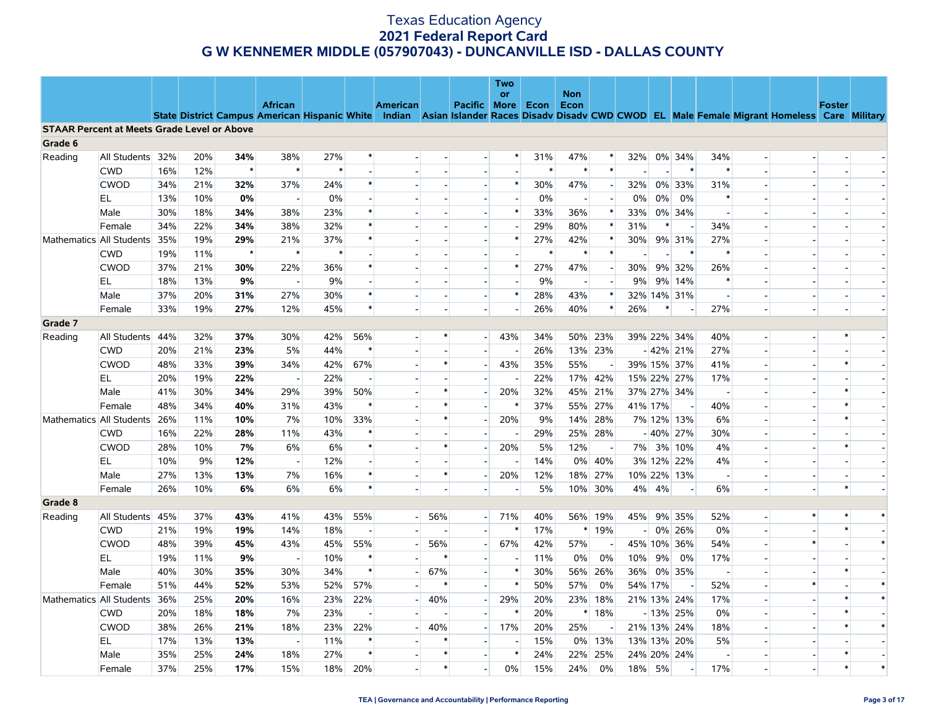|                                                    |                  |     |     |         |                          |        |        |                                                                                                                                                |                          |                          | <b>Two</b> |        |                          |                          |         |        |                          |                          |                          |        |               |        |
|----------------------------------------------------|------------------|-----|-----|---------|--------------------------|--------|--------|------------------------------------------------------------------------------------------------------------------------------------------------|--------------------------|--------------------------|------------|--------|--------------------------|--------------------------|---------|--------|--------------------------|--------------------------|--------------------------|--------|---------------|--------|
|                                                    |                  |     |     |         | <b>African</b>           |        |        | American                                                                                                                                       |                          | Pacific   More   Econ    | <b>or</b>  |        | <b>Non</b><br>Econ       |                          |         |        |                          |                          |                          |        | <b>Foster</b> |        |
|                                                    |                  |     |     |         |                          |        |        | State District Campus American Hispanic White Indian Asian Islander Races Disady Disady CWD CWOD EL Male Female Migrant Homeless Care Military |                          |                          |            |        |                          |                          |         |        |                          |                          |                          |        |               |        |
| <b>STAAR Percent at Meets Grade Level or Above</b> |                  |     |     |         |                          |        |        |                                                                                                                                                |                          |                          |            |        |                          |                          |         |        |                          |                          |                          |        |               |        |
| Grade 6                                            |                  |     |     |         |                          |        |        |                                                                                                                                                |                          |                          |            |        |                          |                          |         |        |                          |                          |                          |        |               |        |
| Reading                                            | All Students 32% |     | 20% | 34%     | 38%                      | 27%    |        |                                                                                                                                                |                          | $\overline{\phantom{0}}$ | *          | 31%    | 47%                      | $\ast$                   | 32%     |        | 0% 34%                   | 34%                      | $\overline{\phantom{a}}$ |        |               |        |
|                                                    | <b>CWD</b>       | 16% | 12% | $\star$ | $\ast$                   | $\ast$ |        |                                                                                                                                                |                          | $\overline{\phantom{a}}$ |            | $\ast$ | $\ast$                   | $\ast$                   |         |        | $\ast$                   | $\ast$                   |                          |        |               |        |
|                                                    | <b>CWOD</b>      | 34% | 21% | 32%     | 37%                      | 24%    | $\ast$ |                                                                                                                                                |                          |                          | $\ast$     | 30%    | 47%                      |                          | 32%     |        | 0% 33%                   | 31%                      |                          |        |               |        |
|                                                    | EL               | 13% | 10% | 0%      | $\overline{\phantom{a}}$ | $0\%$  |        |                                                                                                                                                |                          |                          |            | 0%     | $\overline{\phantom{a}}$ |                          | 0%      | 0%     | 0%                       | $\ast$                   | $\overline{\phantom{a}}$ |        |               |        |
|                                                    | Male             | 30% | 18% | 34%     | 38%                      | 23%    |        |                                                                                                                                                |                          |                          | $\ast$     | 33%    | 36%                      | $\ast$                   | 33%     |        | 0% 34%                   | $\sim$                   |                          |        |               |        |
|                                                    | Female           | 34% | 22% | 34%     | 38%                      | 32%    |        |                                                                                                                                                |                          |                          |            | 29%    | 80%                      | $\ast$                   | 31%     | $\ast$ | $\overline{\phantom{a}}$ | 34%                      |                          |        |               |        |
| Mathematics All Students                           |                  | 35% | 19% | 29%     | 21%                      | 37%    | $\ast$ |                                                                                                                                                |                          | $\sim$                   | $\ast$     | 27%    | 42%                      | $\ast$                   | 30%     |        | 9% 31%                   | 27%                      |                          |        |               |        |
|                                                    | <b>CWD</b>       | 19% | 11% | $\star$ | $\ast$                   | $\ast$ |        |                                                                                                                                                |                          |                          |            | $\ast$ | $\ast$                   | $\ast$                   |         |        | $\ast$                   | $\ast$                   |                          |        |               |        |
|                                                    | <b>CWOD</b>      | 37% | 21% | 30%     | 22%                      | 36%    |        |                                                                                                                                                |                          |                          | $\ast$     | 27%    | 47%                      | $\overline{\phantom{a}}$ | 30%     |        | 9% 32%                   | 26%                      |                          |        |               |        |
|                                                    | EL               | 18% | 13% | 9%      | $\overline{\phantom{a}}$ | 9%     |        |                                                                                                                                                |                          |                          |            | 9%     | $\overline{\phantom{a}}$ |                          | 9%      |        | 9% 14%                   | $\ast$                   |                          |        |               |        |
|                                                    | Male             | 37% | 20% | 31%     | 27%                      | 30%    |        |                                                                                                                                                | $\sim$                   | н.                       | $\ast$     | 28%    | 43%                      | $\ast$                   |         |        | 32% 14% 31%              | $\overline{\phantom{a}}$ | $\overline{\phantom{a}}$ |        |               |        |
|                                                    | Female           | 33% | 19% | 27%     | 12%                      | 45%    | $\ast$ |                                                                                                                                                |                          |                          |            | 26%    | 40%                      | $\ast$                   | 26%     | $\ast$ |                          | 27%                      | $\overline{a}$           |        |               |        |
| Grade 7                                            |                  |     |     |         |                          |        |        |                                                                                                                                                |                          |                          |            |        |                          |                          |         |        |                          |                          |                          |        |               |        |
| Reading                                            | All Students     | 44% | 32% | 37%     | 30%                      | 42%    | 56%    |                                                                                                                                                | $\ast$                   | $\overline{\phantom{a}}$ | 43%        | 34%    | 50%                      | 23%                      |         |        | 39% 22% 34%              | 40%                      | $\overline{\phantom{a}}$ |        | $\ast$        |        |
|                                                    | <b>CWD</b>       | 20% | 21% | 23%     | 5%                       | 44%    | $\ast$ |                                                                                                                                                |                          |                          |            | 26%    |                          | 13% 23%                  |         |        | $-42\%$ 21%              | 27%                      |                          |        |               |        |
|                                                    | <b>CWOD</b>      | 48% | 33% | 39%     | 34%                      | 42%    | 67%    |                                                                                                                                                | $\ast$                   | $\overline{a}$           | 43%        | 35%    | 55%                      | $\overline{\phantom{a}}$ |         |        | 39% 15% 37%              | 41%                      |                          |        | $\ast$        |        |
|                                                    | EL.              | 20% | 19% | 22%     | $\sim$                   | 22%    |        |                                                                                                                                                |                          |                          |            | 22%    |                          | 17% 42%                  |         |        | 15% 22% 27%              | 17%                      | $\overline{a}$           |        |               |        |
|                                                    | Male             | 41% | 30% | 34%     | 29%                      | 39%    | 50%    |                                                                                                                                                | $\ast$                   |                          | 20%        | 32%    | 45%                      | 21%                      |         |        | 37% 27% 34%              | $\overline{\phantom{a}}$ |                          |        |               |        |
|                                                    | Female           | 48% | 34% | 40%     | 31%                      | 43%    | $\ast$ |                                                                                                                                                | $\ast$                   |                          | $\ast$     | 37%    | 55%                      | 27%                      | 41% 17% |        | $\overline{\phantom{a}}$ | 40%                      | $\sim$                   |        |               |        |
| Mathematics All Students                           |                  | 26% | 11% | 10%     | 7%                       | 10%    | 33%    |                                                                                                                                                | $\ast$                   |                          | 20%        | 9%     | 14%                      | 28%                      |         |        | 7% 12% 13%               | 6%                       |                          |        |               |        |
|                                                    | <b>CWD</b>       | 16% | 22% | 28%     | 11%                      | 43%    | $\ast$ |                                                                                                                                                | $\overline{a}$<br>$\ast$ | $\overline{a}$           |            | 29%    |                          | 25% 28%                  |         |        | $-40\%$ 27%              | 30%                      | $\overline{a}$           |        | $\ast$        |        |
|                                                    | <b>CWOD</b>      | 28% | 10% | 7%      | 6%                       | 6%     |        |                                                                                                                                                |                          |                          | 20%        | 5%     | 12%                      |                          |         |        | 7% 3% 10%                | 4%                       |                          |        |               |        |
|                                                    | EL               | 10% | 9%  | 12%     | $\sim$                   | 12%    | $\ast$ |                                                                                                                                                | $\ast$                   |                          |            | 14%    | 0%                       | 40%                      |         |        | 3% 12% 22%               | 4%                       | $\overline{a}$           |        |               |        |
|                                                    | Male             | 27% | 13% | 13%     | 7%                       | 16%    | $\ast$ |                                                                                                                                                |                          |                          | 20%        | 12%    | 18%                      | 27%                      |         |        | 10% 22% 13%              | $\overline{\phantom{a}}$ |                          |        | $\ast$        |        |
|                                                    | Female           | 26% | 10% | 6%      | 6%                       | 6%     |        |                                                                                                                                                |                          |                          |            | 5%     |                          | 10% 30%                  |         | 4% 4%  | $\overline{\phantom{a}}$ | 6%                       | $\overline{\phantom{a}}$ |        |               |        |
| Grade 8                                            | All Students     | 45% | 37% | 43%     | 41%                      | 43%    | 55%    |                                                                                                                                                | 56%                      | $\overline{\phantom{a}}$ | 71%        | 40%    |                          | 56% 19%                  | 45%     |        | 9% 35%                   | 52%                      |                          | $\ast$ | $\ast$        | $\ast$ |
| Reading                                            | <b>CWD</b>       | 21% | 19% | 19%     | 14%                      | 18%    | $\sim$ |                                                                                                                                                |                          |                          | $\ast$     | 17%    |                          | $*19%$                   | $-1$    |        | 0% 26%                   | 0%                       | $\overline{a}$           |        | $\ast$        |        |
|                                                    | <b>CWOD</b>      | 48% | 39% | 45%     | 43%                      | 45%    | 55%    |                                                                                                                                                | 56%                      |                          | 67%        | 42%    | 57%                      |                          |         |        | 45% 10% 36%              | 54%                      |                          | $\ast$ |               | $\ast$ |
|                                                    | EL               | 19% | 11% | 9%      | $\sim$                   | 10%    | ∗      |                                                                                                                                                |                          |                          |            | 11%    | $0\%$                    | 0%                       | 10%     | 9%     | 0%                       | 17%                      |                          |        |               |        |
|                                                    | Male             | 40% | 30% | 35%     | 30%                      | 34%    | $\ast$ | $\overline{a}$                                                                                                                                 | 67%                      | $\overline{a}$           | $\ast$     | 30%    | 56%                      | 26%                      | 36%     |        | 0% 35%                   | $\overline{\phantom{a}}$ | $\sim$                   |        |               |        |
|                                                    | Female           | 51% | 44% | 52%     | 53%                      | 52%    | 57%    |                                                                                                                                                |                          |                          |            | 50%    | 57%                      | 0%                       | 54% 17% |        |                          | 52%                      | $\overline{\phantom{a}}$ |        |               | $\ast$ |
| Mathematics All Students                           |                  | 36% | 25% | 20%     | 16%                      | 23%    | 22%    |                                                                                                                                                | 40%                      | $\overline{\phantom{a}}$ | 29%        | 20%    | 23%                      | 18%                      |         |        | 21% 13% 24%              | 17%                      | $\overline{a}$           |        | $\ast$        | $\ast$ |
|                                                    | <b>CWD</b>       | 20% | 18% | 18%     | 7%                       | 23%    |        |                                                                                                                                                |                          |                          | $\ast$     | 20%    | $\ast$                   | 18%                      |         |        | $-13\%$ 25%              | $0\%$                    |                          |        |               |        |
|                                                    | <b>CWOD</b>      | 38% | 26% | 21%     | 18%                      | 23%    | 22%    |                                                                                                                                                | 40%                      | $\overline{a}$           | 17%        | 20%    | 25%                      |                          |         |        | 21% 13% 24%              | 18%                      |                          |        | $\ast$        | $\ast$ |
|                                                    | EL               | 17% | 13% | 13%     | $\sim$                   | 11%    | ∗      |                                                                                                                                                | $\ast$                   |                          |            | 15%    | $0\%$                    | 13%                      |         |        | 13% 13% 20%              | 5%                       |                          |        |               |        |
|                                                    | Male             | 35% | 25% | 24%     | 18%                      | 27%    | $\ast$ |                                                                                                                                                | $\ast$                   |                          | $\ast$     | 24%    | 22%                      | 25%                      |         |        | 24% 20% 24%              | $\overline{\phantom{a}}$ | $\overline{\phantom{a}}$ |        |               |        |
|                                                    | Female           | 37% | 25% | 17%     | 15%                      | 18%    | 20%    |                                                                                                                                                | $\ast$                   |                          | 0%         | 15%    | 24%                      | 0%                       | 18%     | 5%     |                          | 17%                      | $\overline{a}$           |        | $\ast$        | $\ast$ |
|                                                    |                  |     |     |         |                          |        |        |                                                                                                                                                |                          |                          |            |        |                          |                          |         |        |                          |                          |                          |        |               |        |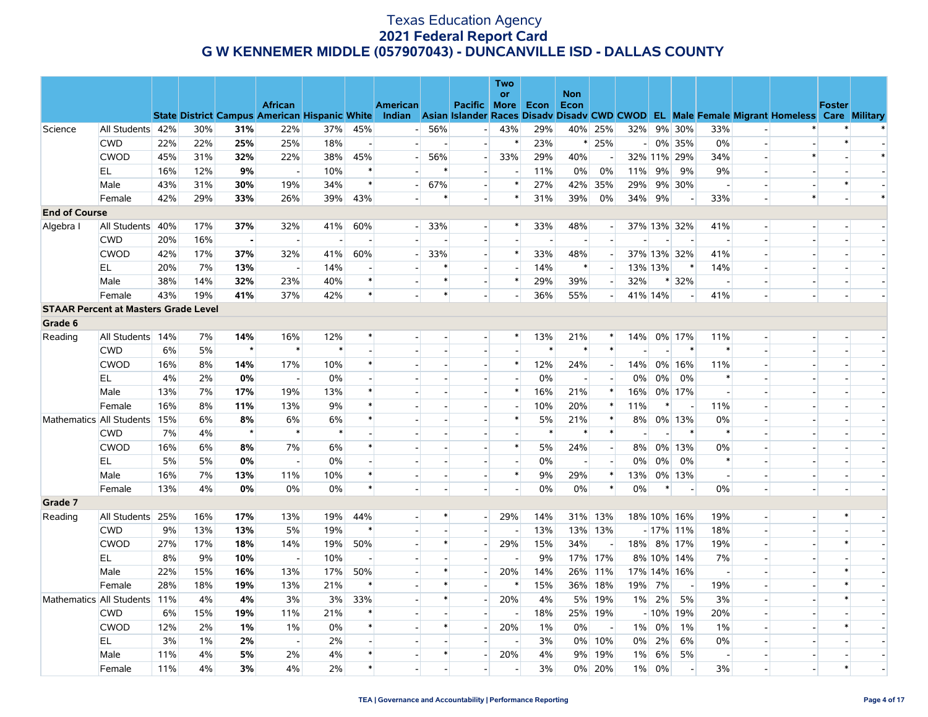|                      |                                             |     |       |                |                          |        |                          |                          |                          |                          | Two                      |        |                          |                          |                |         |                          |                          |                          |                                                                                                                                                |               |        |
|----------------------|---------------------------------------------|-----|-------|----------------|--------------------------|--------|--------------------------|--------------------------|--------------------------|--------------------------|--------------------------|--------|--------------------------|--------------------------|----------------|---------|--------------------------|--------------------------|--------------------------|------------------------------------------------------------------------------------------------------------------------------------------------|---------------|--------|
|                      |                                             |     |       |                | <b>African</b>           |        |                          | <b>American</b>          |                          | Pacific More             | <b>or</b>                | Econ   | <b>Non</b><br>Econ       |                          |                |         |                          |                          |                          |                                                                                                                                                | <b>Foster</b> |        |
|                      |                                             |     |       |                |                          |        |                          |                          |                          |                          |                          |        |                          |                          |                |         |                          |                          |                          | State District Campus American Hispanic White Indian Asian Islander Races Disady Disady CWD CWOD EL Male Female Migrant Homeless Care Military |               |        |
| Science              | All Students                                | 42% | 30%   | 31%            | 22%                      | 37%    | 45%                      | $\overline{\phantom{a}}$ | 56%                      | $\overline{\phantom{a}}$ | 43%                      | 29%    | 40%                      | 25%                      | 32%            |         | 9% 30%                   | 33%                      |                          |                                                                                                                                                |               |        |
|                      | <b>CWD</b>                                  | 22% | 22%   | 25%            | 25%                      | 18%    | $\overline{\phantom{a}}$ |                          | $\sim$                   | $\overline{\phantom{a}}$ | $\ast$                   | 23%    | $\ast$                   | 25%                      | $\blacksquare$ |         | 0% 35%                   | $0\%$                    | $\overline{\phantom{a}}$ |                                                                                                                                                | $\ast$        |        |
|                      | <b>CWOD</b>                                 | 45% | 31%   | 32%            | 22%                      | 38%    | 45%                      |                          | 56%                      | $\overline{\phantom{a}}$ | 33%                      | 29%    | 40%                      |                          |                |         | 32% 11% 29%              | 34%                      |                          |                                                                                                                                                |               | $\ast$ |
|                      | EL                                          | 16% | 12%   | 9%             | $\overline{\phantom{a}}$ | 10%    |                          |                          |                          | $\blacksquare$           |                          | 11%    | 0%                       | 0%                       | 11%            | 9%      | 9%                       | 9%                       | $\blacksquare$           |                                                                                                                                                |               |        |
|                      | Male                                        | 43% | 31%   | 30%            | 19%                      | 34%    | $\ast$                   |                          | 67%                      | $\overline{\phantom{a}}$ | $\ast$                   | 27%    | 42%                      | 35%                      | 29%            |         | 9% 30%                   | $\overline{\phantom{a}}$ |                          |                                                                                                                                                |               |        |
|                      | Female                                      | 42% | 29%   | 33%            | 26%                      | 39%    | 43%                      |                          | $\ast$                   | $\blacksquare$           | $\ast$                   | 31%    | 39%                      | 0%                       | 34%            | 9%      | $\overline{\phantom{a}}$ | 33%                      | $\overline{\phantom{a}}$ | $\ast$                                                                                                                                         |               | $\ast$ |
| <b>End of Course</b> |                                             |     |       |                |                          |        |                          |                          |                          |                          |                          |        |                          |                          |                |         |                          |                          |                          |                                                                                                                                                |               |        |
| Algebra I            | All Students                                | 40% | 17%   | 37%            | 32%                      | 41%    | 60%                      | -1                       | 33%                      | $\overline{\phantom{a}}$ | $\ast$                   | 33%    | 48%                      | $\overline{a}$           |                |         | 37% 13% 32%              | 41%                      |                          |                                                                                                                                                |               |        |
|                      | <b>CWD</b>                                  | 20% | 16%   | $\blacksquare$ | $\sim$                   | $\sim$ | $\sim$                   |                          |                          | $\overline{\phantom{a}}$ | $\overline{\phantom{a}}$ | $\sim$ | $\overline{\phantom{a}}$ | $\sim$                   |                |         | $\sim$                   | $\overline{\phantom{a}}$ |                          |                                                                                                                                                |               |        |
|                      | <b>CWOD</b>                                 | 42% | 17%   | 37%            | 32%                      | 41%    | 60%                      |                          | 33%                      |                          | $\ast$                   | 33%    | 48%                      |                          |                |         | 37% 13% 32%              | 41%                      |                          |                                                                                                                                                |               |        |
|                      | EL                                          | 20% | 7%    | 13%            | $\overline{a}$           | 14%    |                          |                          | ∗                        | $\sim$                   |                          | 14%    | $\ast$                   | $\sim$                   |                | 13% 13% | $\ast$                   | 14%                      |                          |                                                                                                                                                |               |        |
|                      | Male                                        | 38% | 14%   | 32%            | 23%                      | 40%    | $\ast$                   |                          | $\ast$                   |                          | $\ast$                   | 29%    | 39%                      |                          | 32%            |         | * 32%                    | $\overline{\phantom{a}}$ |                          |                                                                                                                                                |               |        |
|                      | Female                                      | 43% | 19%   | 41%            | 37%                      | 42%    | $\ast$                   |                          | $\ast$                   |                          |                          | 36%    | 55%                      | $\overline{a}$           |                | 41% 14% | $\blacksquare$           | 41%                      | $\blacksquare$           |                                                                                                                                                |               |        |
|                      | <b>STAAR Percent at Masters Grade Level</b> |     |       |                |                          |        |                          |                          |                          |                          |                          |        |                          |                          |                |         |                          |                          |                          |                                                                                                                                                |               |        |
| Grade 6              |                                             |     |       |                |                          |        |                          |                          |                          |                          |                          |        |                          |                          |                |         |                          |                          |                          |                                                                                                                                                |               |        |
| Reading              | All Students                                | 14% | 7%    | 14%            | 16%                      | 12%    | $\ast$                   |                          | $\overline{\phantom{a}}$ | $\overline{a}$           | $\ast$                   | 13%    | 21%                      | $\ast$                   | 14%            |         | 0% 17%                   | 11%                      | $\overline{a}$           |                                                                                                                                                |               |        |
|                      | <b>CWD</b>                                  | 6%  | 5%    | $\star$        | $\ast$                   | $\ast$ |                          |                          |                          |                          |                          | $\ast$ | $\ast$                   | $\ast$                   |                |         | $\ast$                   | $\ast$                   |                          |                                                                                                                                                |               |        |
|                      | <b>CWOD</b>                                 | 16% | 8%    | 14%            | 17%                      | 10%    | $\ast$                   |                          | $\overline{a}$           | $\sim$                   | $\ast$                   | 12%    | 24%                      | $\sim$                   | 14%            |         | 0% 16%                   | 11%                      | $\overline{a}$           |                                                                                                                                                |               |        |
|                      | EL                                          | 4%  | 2%    | 0%             | $\overline{\phantom{a}}$ | $0\%$  |                          |                          |                          |                          |                          | 0%     | $\overline{\phantom{a}}$ |                          | 0%             | 0%      | 0%                       | $\ast$                   |                          |                                                                                                                                                |               |        |
|                      | Male                                        | 13% | 7%    | 17%            | 19%                      | 13%    |                          |                          |                          | $\blacksquare$           | $\ast$                   | 16%    | 21%                      | $\ast$                   | 16%            |         | 0% 17%                   | $\overline{\phantom{a}}$ |                          |                                                                                                                                                |               |        |
|                      | Female                                      | 16% | 8%    | 11%            | 13%                      | 9%     |                          |                          |                          |                          | $\overline{\phantom{a}}$ | 10%    | 20%                      | $\ast$                   | 11%            | $\ast$  | $\overline{\phantom{a}}$ | 11%                      | $\overline{a}$           |                                                                                                                                                |               |        |
|                      | Mathematics All Students                    | 15% | 6%    | 8%             | 6%                       | 6%     |                          |                          |                          |                          | $\ast$                   | 5%     | 21%                      | $\ast$                   | $8\%$          |         | 0% 13%                   | 0%                       | $\blacksquare$           |                                                                                                                                                |               |        |
|                      | <b>CWD</b>                                  | 7%  | 4%    | $\star$        | $\ast$                   | $\ast$ |                          |                          | $\overline{\phantom{a}}$ |                          | $\overline{a}$           | $\ast$ | $\ast$                   | $\ast$                   |                |         | $\ast$                   | $\ast$                   | $\overline{a}$           |                                                                                                                                                |               |        |
|                      | <b>CWOD</b>                                 | 16% | 6%    | 8%             | 7%                       | 6%     |                          |                          |                          | $\overline{\phantom{a}}$ | $\ast$                   | 5%     | 24%                      | $\overline{\phantom{a}}$ | 8%             |         | 0% 13%                   | $0\%$                    |                          |                                                                                                                                                |               |        |
|                      | EL.                                         | 5%  | 5%    | 0%             | $\sim$                   | $0\%$  |                          |                          | $\overline{a}$           | $\overline{a}$           | $\overline{\phantom{a}}$ | 0%     | $\overline{\phantom{a}}$ | $\sim$                   | $0\%$          | 0%      | 0%                       | $\ast$                   | $\overline{a}$           |                                                                                                                                                |               |        |
|                      | Male                                        | 16% | 7%    | 13%            | 11%                      | 10%    | $\ast$                   |                          | $\overline{\phantom{a}}$ |                          | $\ast$                   | 9%     | 29%                      | $\ast$                   | 13%            |         | 0% 13%                   | $\sim$                   |                          |                                                                                                                                                |               |        |
|                      | Female                                      | 13% | 4%    | 0%             | 0%                       | 0%     | $\ast$                   |                          | $\sim$                   |                          |                          | 0%     | 0%                       | $\ast$                   | 0%             | *       |                          | $0\%$                    | $\overline{\phantom{a}}$ |                                                                                                                                                |               |        |
| Grade 7              |                                             |     |       |                |                          |        |                          |                          |                          |                          |                          |        |                          |                          |                |         |                          |                          |                          |                                                                                                                                                |               |        |
| Reading              | All Students                                | 25% | 16%   | 17%            | 13%                      | 19%    | 44%                      |                          | $\ast$                   | $\overline{a}$           | 29%                      | 14%    |                          | 31% 13%                  |                |         | 18% 10% 16%              | 19%                      | $\overline{a}$           |                                                                                                                                                |               |        |
|                      | <b>CWD</b>                                  | 9%  | 13%   | 13%            | 5%                       | 19%    | $\ast$                   |                          |                          |                          |                          | 13%    |                          | 13% 13%                  |                |         | $-17\%$ 11%              | 18%                      | $\overline{a}$           |                                                                                                                                                |               |        |
|                      | <b>CWOD</b>                                 | 27% | 17%   | 18%            | 14%                      | 19%    | 50%                      |                          | $\ast$                   | $\blacksquare$           | 29%                      | 15%    | 34%                      | $\overline{\phantom{a}}$ |                |         | 18% 8% 17%               | 19%                      | $\overline{\phantom{a}}$ |                                                                                                                                                |               |        |
|                      | EL                                          | 8%  | 9%    | 10%            | $\overline{\phantom{a}}$ | 10%    |                          |                          |                          | $\overline{a}$           | $\overline{\phantom{a}}$ | 9%     | 17%                      | 17%                      |                |         | 8% 10% 14%               | 7%                       |                          |                                                                                                                                                |               |        |
|                      | Male                                        | 22% | 15%   | 16%            | 13%                      | 17%    | 50%                      |                          | *                        |                          | 20%                      | 14%    |                          | 26% 11%                  |                |         | 17% 14% 16%              | $\overline{\phantom{a}}$ |                          |                                                                                                                                                |               |        |
|                      | Female                                      | 28% | 18%   | 19%            | 13%                      | 21%    | $\ast$                   |                          | $\ast$                   |                          | $\ast$                   | 15%    | 36%                      | 18%                      | 19%            | 7%      | $\sim$                   | 19%                      |                          |                                                                                                                                                |               |        |
|                      | Mathematics All Students                    | 11% | 4%    | 4%             | 3%                       | 3%     | 33%                      |                          | $\ast$                   | $\blacksquare$           | 20%                      | 4%     | 5%                       | 19%                      |                | 1% 2%   | 5%                       | 3%                       |                          |                                                                                                                                                |               |        |
|                      | <b>CWD</b>                                  | 6%  | 15%   | 19%            | 11%                      | 21%    |                          |                          | $\overline{\phantom{a}}$ | $\blacksquare$           | $\overline{\phantom{a}}$ | 18%    | 25%                      | 19%                      |                |         | $-10\%$ 19%              | 20%                      |                          |                                                                                                                                                |               |        |
|                      | <b>CWOD</b>                                 | 12% | 2%    | 1%             | $1\%$                    | $0\%$  | $\ast$                   |                          | $\ast$                   |                          | 20%                      | 1%     | 0%                       |                          | $1\%$          | 0%      | 1%                       | 1%                       |                          |                                                                                                                                                |               |        |
|                      | EL.                                         | 3%  | $1\%$ | 2%             | $\sim$                   | 2%     | $\overline{\phantom{a}}$ |                          | $\overline{\phantom{a}}$ |                          |                          | 3%     | $0\%$                    | 10%                      | $0\%$          | 2%      | 6%                       | 0%                       | $\overline{\phantom{a}}$ |                                                                                                                                                |               |        |
|                      | Male                                        | 11% | 4%    | 5%             | 2%                       | 4%     | $\ast$                   |                          | $\ast$                   | $\sim$                   | 20%                      | 4%     | 9%                       | 19%                      | 1%             | 6%      | 5%                       | $\overline{\phantom{a}}$ |                          |                                                                                                                                                |               |        |
|                      | Female                                      | 11% | 4%    | 3%             | 4%                       | 2%     | $\ast$                   |                          |                          |                          |                          | 3%     | $0\%$                    | 20%                      | $1\%$          | 0%      | $\overline{\phantom{a}}$ | 3%                       |                          |                                                                                                                                                | $\ast$        |        |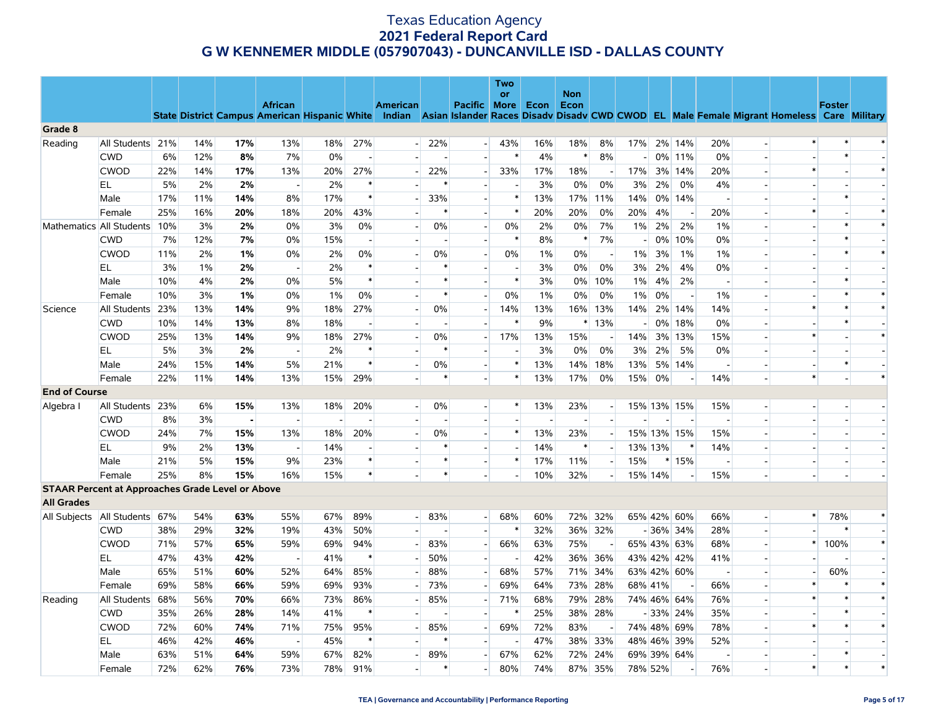|                                                         |                          |     |     |     |                          |       |                          |                          |                          |                          | <b>Two</b><br><b>or</b>  |       | <b>Non</b> |                          |         |       |                          |                          |                          |                                                                                                                                                |               |                          |
|---------------------------------------------------------|--------------------------|-----|-----|-----|--------------------------|-------|--------------------------|--------------------------|--------------------------|--------------------------|--------------------------|-------|------------|--------------------------|---------|-------|--------------------------|--------------------------|--------------------------|------------------------------------------------------------------------------------------------------------------------------------------------|---------------|--------------------------|
|                                                         |                          |     |     |     | <b>African</b>           |       |                          | <b>American</b>          |                          | Pacific More             |                          | Econ  | Econ       |                          |         |       |                          |                          |                          |                                                                                                                                                | <b>Foster</b> |                          |
|                                                         |                          |     |     |     |                          |       |                          |                          |                          |                          |                          |       |            |                          |         |       |                          |                          |                          | State District Campus American Hispanic White Indian Asian Islander Races Disadv Disadv CWD CWOD EL Male Female Migrant Homeless Care Military |               |                          |
| Grade 8                                                 |                          |     |     |     |                          |       |                          |                          |                          |                          |                          |       |            |                          |         |       |                          |                          |                          |                                                                                                                                                |               |                          |
| Reading                                                 | All Students 21%         |     | 14% | 17% | 13%                      | 18%   | 27%                      | $\overline{\phantom{0}}$ | 22%                      | $\overline{\phantom{0}}$ | 43%                      | 16%   | 18%        | 8%                       | 17%     |       | 2% 14%                   | 20%                      | $\overline{a}$           |                                                                                                                                                |               |                          |
|                                                         | <b>CWD</b>               | 6%  | 12% | 8%  | 7%                       | 0%    | $\overline{\phantom{a}}$ |                          |                          | $\overline{a}$           | $\ast$                   | 4%    | $\ast$     | 8%                       |         |       | 0% 11%                   | 0%                       |                          |                                                                                                                                                | $\ast$        |                          |
|                                                         | <b>CWOD</b>              | 22% | 14% | 17% | 13%                      | 20%   | 27%                      |                          | 22%                      | $\overline{a}$           | 33%                      | 17%   | 18%        | $\overline{\phantom{a}}$ | 17%     |       | 3% 14%                   | 20%                      |                          |                                                                                                                                                |               |                          |
|                                                         | EL                       | 5%  | 2%  | 2%  |                          | 2%    | $\ast$                   |                          |                          | $\overline{a}$           | $\overline{a}$           | 3%    | 0%         | 0%                       | 3%      | 2%    | 0%                       | 4%                       |                          |                                                                                                                                                |               |                          |
|                                                         | Male                     | 17% | 11% | 14% | 8%                       | 17%   | $\ast$                   |                          | 33%                      | $\overline{\phantom{a}}$ | $\ast$                   | 13%   | 17%        | 11%                      | 14%     |       | 0% 14%                   |                          |                          |                                                                                                                                                | $\ast$        |                          |
|                                                         | Female                   | 25% | 16% | 20% | 18%                      | 20%   | 43%                      |                          | $\ast$                   | $\overline{a}$           | $\ast$                   | 20%   | 20%        | 0%                       | 20%     | 4%    | $\overline{\phantom{a}}$ | 20%                      |                          | $\ast$                                                                                                                                         |               | $\ast$                   |
|                                                         | Mathematics All Students | 10% | 3%  | 2%  | 0%                       | 3%    | $0\%$                    |                          | 0%                       |                          | 0%                       | 2%    | 0%         | 7%                       | 1%      | 2%    | 2%                       | $1\%$                    |                          |                                                                                                                                                | $\ast$        | $\ast$                   |
|                                                         | <b>CWD</b>               | 7%  | 12% | 7%  | 0%                       | 15%   | $\overline{\phantom{a}}$ |                          | $\overline{a}$           | $\overline{\phantom{a}}$ | $\ast$                   | 8%    | $\ast$     | 7%                       |         | $0\%$ | 10%                      | 0%                       |                          |                                                                                                                                                | $\ast$        |                          |
|                                                         | <b>CWOD</b>              | 11% | 2%  | 1%  | $0\%$                    | 2%    | 0%                       |                          | 0%                       |                          | 0%                       | $1\%$ | 0%         | $\overline{a}$           | $1\%$   | 3%    | 1%                       | 1%                       |                          |                                                                                                                                                | $\ast$        | $\ast$                   |
|                                                         | EL                       | 3%  | 1%  | 2%  | $\overline{\phantom{a}}$ | 2%    | $\ast$                   |                          |                          |                          | $\blacksquare$           | 3%    | 0%         | 0%                       | 3%      | 2%    | 4%                       | 0%                       |                          |                                                                                                                                                |               |                          |
|                                                         | Male                     | 10% | 4%  | 2%  | 0%                       | 5%    | $\ast$                   |                          | $\ast$                   |                          | $\ast$                   | 3%    | $0\%$      | 10%                      | $1\%$   | 4%    | 2%                       | $\overline{\phantom{a}}$ |                          |                                                                                                                                                | $\ast$        |                          |
|                                                         | Female                   | 10% | 3%  | 1%  | 0%                       | $1\%$ | $0\%$                    |                          | $\ast$                   | $\overline{a}$           | 0%                       | $1\%$ | 0%         | 0%                       | $1\%$   | 0%    |                          | 1%                       |                          |                                                                                                                                                | $\ast$        | $\ast$                   |
| Science                                                 | All Students             | 23% | 13% | 14% | 9%                       | 18%   | 27%                      | $\overline{a}$           | 0%                       | н.                       | 14%                      | 13%   | 16%        | 13%                      | 14%     | 2%    | 14%                      | 14%                      |                          | $\ast$                                                                                                                                         | $\ast$        | $\ast$                   |
|                                                         | <b>CWD</b>               | 10% | 14% | 13% | 8%                       | 18%   | $\overline{\phantom{a}}$ |                          |                          |                          | $\ast$                   | 9%    | ∗          | 13%                      |         |       | 0% 18%                   | 0%                       |                          |                                                                                                                                                | $\ast$        |                          |
|                                                         | <b>CWOD</b>              | 25% | 13% | 14% | 9%                       | 18%   | 27%                      | $\overline{a}$           | 0%                       | н.                       | 17%                      | 13%   | 15%        |                          | 14%     |       | 3% 13%                   | 15%                      | $\overline{a}$           | $\ast$                                                                                                                                         |               | $\ast$                   |
|                                                         | EL                       | 5%  | 3%  | 2%  | $\overline{\phantom{a}}$ | 2%    | $\ast$                   |                          | $\ast$                   | $\overline{a}$           | $\overline{a}$           | 3%    | 0%         | 0%                       | 3%      | 2%    | 5%                       | 0%                       |                          |                                                                                                                                                |               |                          |
|                                                         | Male                     | 24% | 15% | 14% | 5%                       | 21%   | $\ast$                   |                          | 0%                       | $\overline{\phantom{a}}$ | $\ast$                   | 13%   | 14%        | 18%                      | 13%     |       | 5% 14%                   | $\overline{\phantom{a}}$ |                          |                                                                                                                                                | $\ast$        |                          |
|                                                         | Female                   | 22% | 11% | 14% | 13%                      | 15%   | 29%                      |                          | $\ast$                   | $\overline{\phantom{a}}$ | $\ast$                   | 13%   | 17%        | 0%                       | 15%     | 0%    |                          | 14%                      | $\overline{a}$           | $\ast$                                                                                                                                         |               | $\ast$                   |
| <b>End of Course</b>                                    |                          |     |     |     |                          |       |                          |                          |                          |                          |                          |       |            |                          |         |       |                          |                          |                          |                                                                                                                                                |               |                          |
| Algebra I                                               | All Students             | 23% | 6%  | 15% | 13%                      | 18%   | 20%                      | $\overline{\phantom{a}}$ | 0%                       | н.                       | $\ast$                   | 13%   | 23%        | $\overline{a}$           |         |       | 15% 13% 15%              | 15%                      | $\overline{a}$           |                                                                                                                                                | $\sim$        |                          |
|                                                         | <b>CWD</b>               | 8%  | 3%  |     |                          |       |                          |                          |                          |                          | $\overline{\phantom{a}}$ |       |            |                          |         |       |                          |                          |                          |                                                                                                                                                |               |                          |
|                                                         | <b>CWOD</b>              | 24% | 7%  | 15% | 13%                      | 18%   | 20%                      | $\overline{\phantom{a}}$ | 0%                       | $\overline{a}$           | $\ast$                   | 13%   | 23%        | $\sim$                   |         |       | 15% 13% 15%              | 15%                      | $\overline{\phantom{a}}$ |                                                                                                                                                |               |                          |
|                                                         | EL                       | 9%  | 2%  | 13% | $\sim$                   | 14%   |                          |                          | $\ast$                   |                          | $\overline{a}$           | 14%   | $\ast$     |                          | 13% 13% |       | $\ast$                   | 14%                      |                          |                                                                                                                                                |               |                          |
|                                                         | Male                     | 21% | 5%  | 15% | 9%                       | 23%   | $\ast$                   |                          | $\ast$                   | $\overline{\phantom{a}}$ | $\ast$                   | 17%   | 11%        | $\overline{a}$           | 15%     |       | * 15%                    | $\overline{\phantom{a}}$ |                          |                                                                                                                                                |               |                          |
|                                                         | Female                   | 25% | 8%  | 15% | 16%                      | 15%   | $\ast$                   |                          | $\ast$                   |                          | $\overline{\phantom{a}}$ | 10%   | 32%        |                          | 15% 14% |       |                          | 15%                      |                          |                                                                                                                                                |               |                          |
| <b>STAAR Percent at Approaches Grade Level or Above</b> |                          |     |     |     |                          |       |                          |                          |                          |                          |                          |       |            |                          |         |       |                          |                          |                          |                                                                                                                                                |               |                          |
| <b>All Grades</b>                                       |                          |     |     |     |                          |       |                          |                          |                          |                          |                          |       |            |                          |         |       |                          |                          |                          |                                                                                                                                                |               |                          |
| All Subjects                                            | All Students             | 67% | 54% | 63% | 55%                      | 67%   | 89%                      | $\overline{a}$           | 83%                      | $\overline{\phantom{0}}$ | 68%                      | 60%   |            | 72% 32%                  |         |       | 65% 42% 60%              | 66%                      |                          | $\ast$                                                                                                                                         | 78%           | $\ast$                   |
|                                                         | <b>CWD</b>               | 38% | 29% | 32% | 19%                      | 43%   | 50%                      |                          | $\overline{\phantom{a}}$ | $\overline{\phantom{a}}$ | $\ast$                   | 32%   |            | 36% 32%                  |         |       | $-36\%$ 34%              | 28%                      |                          |                                                                                                                                                | $\ast$        | $\overline{\phantom{a}}$ |
|                                                         | <b>CWOD</b>              | 71% | 57% | 65% | 59%                      | 69%   | 94%                      |                          | 83%                      | $\overline{\phantom{a}}$ | 66%                      | 63%   | 75%        |                          |         |       | 65% 43% 63%              | 68%                      |                          | $\ast$                                                                                                                                         | 100%          | $\ast$                   |
|                                                         | EL.                      | 47% | 43% | 42% | $\overline{\phantom{a}}$ | 41%   | $\ast$                   | $\overline{\phantom{a}}$ | 50%                      | $\overline{a}$           | $\overline{\phantom{a}}$ | 42%   | 36%        | 36%                      |         |       | 43% 42% 42%              | 41%                      |                          |                                                                                                                                                |               | $\overline{\phantom{a}}$ |
|                                                         | Male                     | 65% | 51% | 60% | 52%                      | 64%   | 85%                      |                          | 88%                      | $\overline{a}$           | 68%                      | 57%   | 71%        | 34%                      |         |       | 63% 42% 60%              | $\overline{\phantom{a}}$ | $\overline{a}$           |                                                                                                                                                | 60%           |                          |
|                                                         | Female                   | 69% | 58% | 66% | 59%                      | 69%   | 93%                      |                          | 73%                      |                          | 69%                      | 64%   | 73%        | 28%                      | 68% 41% |       |                          | 66%                      |                          |                                                                                                                                                |               |                          |
| Reading                                                 | All Students             | 68% | 56% | 70% | 66%                      | 73%   | 86%                      |                          | 85%                      | $\overline{\phantom{a}}$ | 71%                      | 68%   | 79%        | 28%                      |         |       | 74% 46% 64%              | 76%                      |                          | $\ast$                                                                                                                                         | $\ast$        | $\ast$                   |
|                                                         | <b>CWD</b>               | 35% | 26% | 28% | 14%                      | 41%   | $\ast$                   |                          |                          |                          | $\ast$                   | 25%   |            | 38% 28%                  |         |       | $-33\%$ 24%              | 35%                      |                          |                                                                                                                                                | $\ast$        |                          |
|                                                         | <b>CWOD</b>              | 72% | 60% | 74% | 71%                      | 75%   | 95%                      |                          | 85%                      | $\blacksquare$           | 69%                      | 72%   | 83%        |                          |         |       | 74% 48% 69%              | 78%                      |                          | $\ast$                                                                                                                                         | $\ast$        | $\ast$                   |
|                                                         | EL                       | 46% | 42% | 46% |                          | 45%   | $\ast$                   |                          | $\ast$                   |                          | $\blacksquare$           | 47%   |            | 38% 33%                  |         |       | 48% 46% 39%              | 52%                      |                          |                                                                                                                                                |               |                          |
|                                                         | Male                     | 63% | 51% | 64% | 59%                      | 67%   | 82%                      |                          | 89%                      |                          | 67%                      |       | 72%        | 24%                      |         |       |                          | $\overline{\phantom{a}}$ |                          |                                                                                                                                                | $\ast$        | $\overline{\phantom{a}}$ |
|                                                         | Female                   | 72% | 62% | 76% | 73%                      | 78%   | 91%                      |                          | $\ast$                   |                          | 80%                      | 74%   |            |                          |         |       |                          | 76%                      |                          | $\ast$                                                                                                                                         | $\ast$        | $\ast$                   |
|                                                         |                          |     |     |     |                          |       |                          |                          |                          |                          |                          | 62%   |            | 87% 35%                  | 78% 52% |       | 69% 39% 64%              |                          |                          |                                                                                                                                                |               |                          |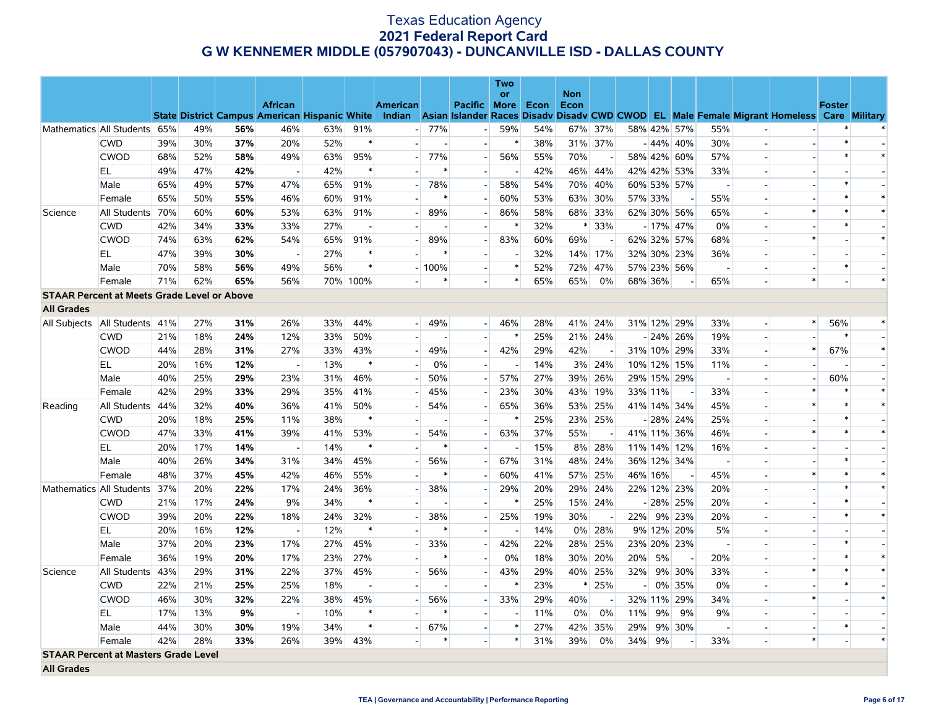|                                                    |                  |     |     |     |                                                      |     |                |                          |         |                          | <b>Two</b> |      |                    |         |                          |         |                          |                          |                          |                                                                                                  |               |        |
|----------------------------------------------------|------------------|-----|-----|-----|------------------------------------------------------|-----|----------------|--------------------------|---------|--------------------------|------------|------|--------------------|---------|--------------------------|---------|--------------------------|--------------------------|--------------------------|--------------------------------------------------------------------------------------------------|---------------|--------|
|                                                    |                  |     |     |     | <b>African</b>                                       |     |                | <b>American</b>          |         | Pacific More             | or         | Econ | <b>Non</b><br>Econ |         |                          |         |                          |                          |                          |                                                                                                  | <b>Foster</b> |        |
|                                                    |                  |     |     |     | <b>State District Campus American Hispanic White</b> |     |                |                          |         |                          |            |      |                    |         |                          |         |                          |                          |                          | Indian Asian Islander Races Disady Disady CWD CWOD EL Male Female Migrant Homeless Care Military |               |        |
| Mathematics All Students 65%                       |                  |     | 49% | 56% | 46%                                                  | 63% | 91%            | $-1$                     | 77%     | $\sim$                   | 59%        | 54%  |                    | 67% 37% |                          |         | 58% 42% 57%              | 55%                      |                          |                                                                                                  |               |        |
|                                                    | <b>CWD</b>       | 39% | 30% | 37% | 20%                                                  | 52% | $\ast$         |                          |         | $\overline{\phantom{a}}$ | $\ast$     | 38%  |                    | 31% 37% |                          |         | $-44\%$ 40%              | 30%                      |                          |                                                                                                  | $\ast$        |        |
|                                                    | <b>CWOD</b>      | 68% | 52% | 58% | 49%                                                  | 63% | 95%            |                          | 77%     |                          | 56%        | 55%  | 70%                |         |                          |         | 58% 42% 60%              | 57%                      |                          |                                                                                                  | $\ast$        | $\ast$ |
|                                                    | EL               | 49% | 47% | 42% | $\overline{\phantom{a}}$                             | 42% |                |                          | $\ast$  |                          |            | 42%  | 46%                | 44%     |                          |         | 42% 42% 53%              | 33%                      |                          |                                                                                                  |               |        |
|                                                    | Male             | 65% | 49% | 57% | 47%                                                  | 65% | 91%            |                          | 78%     | $\overline{a}$           | 58%        | 54%  | 70%                | 40%     |                          |         | 60% 53% 57%              | $\overline{\phantom{a}}$ |                          |                                                                                                  | $\ast$        |        |
|                                                    | Female           | 65% | 50% | 55% | 46%                                                  | 60% | 91%            |                          |         | $\overline{a}$           | 60%        | 53%  | 63%                | 30%     | 57% 33%                  |         | $\overline{\phantom{a}}$ | 55%                      | $\overline{\phantom{a}}$ |                                                                                                  |               | $\ast$ |
| Science                                            | All Students     | 70% | 60% | 60% | 53%                                                  | 63% | 91%            |                          | 89%     |                          | 86%        | 58%  | 68%                | 33%     |                          |         | 62% 30% 56%              | 65%                      |                          |                                                                                                  |               | $\ast$ |
|                                                    | <b>CWD</b>       | 42% | 34% | 33% | 33%                                                  | 27% | $\blacksquare$ |                          |         |                          |            | 32%  | ∗                  | 33%     |                          |         | $-17\%$ 47%              | $0\%$                    |                          |                                                                                                  |               |        |
|                                                    | <b>CWOD</b>      | 74% | 63% | 62% | 54%                                                  | 65% | 91%            |                          | 89%     | $\blacksquare$           | 83%        | 60%  | 69%                |         |                          |         | 62% 32% 57%              | 68%                      |                          |                                                                                                  |               | $\ast$ |
|                                                    | EL               | 47% | 39% | 30% | $\overline{\phantom{a}}$                             | 27% | $\ast$         |                          |         | $\overline{a}$           |            | 32%  | 14%                | 17%     |                          |         | 32% 30% 23%              | 36%                      |                          |                                                                                                  |               |        |
|                                                    | Male             | 70% | 58% | 56% | 49%                                                  | 56% | $\ast$         |                          | $-100%$ |                          | $\ast$     | 52%  | 72%                | 47%     |                          |         | 57% 23% 56%              | $\overline{\phantom{a}}$ |                          |                                                                                                  | $\ast$        |        |
|                                                    | Female           | 71% | 62% | 65% | 56%                                                  |     | 70% 100%       |                          |         | $\overline{a}$           | $\ast$     | 65%  | 65%                | 0%      |                          | 68% 36% |                          | 65%                      |                          | $\ast$                                                                                           |               | $\ast$ |
| <b>STAAR Percent at Meets Grade Level or Above</b> |                  |     |     |     |                                                      |     |                |                          |         |                          |            |      |                    |         |                          |         |                          |                          |                          |                                                                                                  |               |        |
| <b>All Grades</b>                                  |                  |     |     |     |                                                      |     |                |                          |         |                          |            |      |                    |         |                          |         |                          |                          |                          |                                                                                                  |               |        |
| All Subjects                                       | All Students 41% |     | 27% | 31% | 26%                                                  | 33% | 44%            | $\overline{a}$           | 49%     | $\overline{\phantom{0}}$ | 46%        | 28%  |                    | 41% 24% |                          |         | 31% 12% 29%              | 33%                      |                          |                                                                                                  | 56%           | $\ast$ |
|                                                    | <b>CWD</b>       | 21% | 18% | 24% | 12%                                                  | 33% | 50%            |                          |         |                          | $\ast$     | 25%  |                    | 21% 24% |                          |         | $-24\%$ 26%              | 19%                      | $\overline{a}$           |                                                                                                  | $\ast$        |        |
|                                                    | <b>CWOD</b>      | 44% | 28% | 31% | 27%                                                  | 33% | 43%            | $\overline{\phantom{a}}$ | 49%     | $\overline{\phantom{a}}$ | 42%        | 29%  | 42%                |         |                          |         | 31% 10% 29%              | 33%                      | $\overline{\phantom{a}}$ |                                                                                                  | 67%           | $\ast$ |
|                                                    | EL               | 20% | 16% | 12% | $\overline{\phantom{a}}$                             | 13% | $\ast$         | $\overline{\phantom{a}}$ | 0%      |                          |            | 14%  | 3%                 | 24%     |                          |         | 10% 12% 15%              | 11%                      | $\overline{a}$           |                                                                                                  |               |        |
|                                                    | Male             | 40% | 25% | 29% | 23%                                                  | 31% | 46%            |                          | 50%     | $\overline{a}$           | 57%        | 27%  | 39%                | 26%     |                          |         | 29% 15% 29%              | $\overline{\phantom{a}}$ | $\overline{\phantom{a}}$ |                                                                                                  | 60%           |        |
|                                                    | Female           | 42% | 29% | 33% | 29%                                                  | 35% | 41%            |                          | 45%     |                          | 23%        | 30%  | 43%                | 19%     |                          | 33% 11% |                          | 33%                      |                          |                                                                                                  |               | $\ast$ |
| Reading                                            | All Students     | 44% | 32% | 40% | 36%                                                  | 41% | 50%            |                          | 54%     |                          | 65%        | 36%  | 53%                | 25%     |                          |         | 41% 14% 34%              | 45%                      | $\overline{\phantom{a}}$ |                                                                                                  |               | $\ast$ |
|                                                    | <b>CWD</b>       | 20% | 18% | 25% | 11%                                                  | 38% |                |                          |         |                          | $\ast$     | 25%  |                    | 23% 25% |                          |         | $-28\%$ 24%              | 25%                      |                          |                                                                                                  | $\ast$        |        |
|                                                    | <b>CWOD</b>      | 47% | 33% | 41% | 39%                                                  | 41% | 53%            |                          | 54%     | $\overline{a}$           | 63%        | 37%  | 55%                |         |                          |         | 41% 11% 36%              | 46%                      |                          |                                                                                                  | $\ast$        | $\ast$ |
|                                                    | EL.              | 20% | 17% | 14% |                                                      | 14% |                |                          |         |                          |            | 15%  | 8%                 | 28%     |                          |         | 11% 14% 12%              | 16%                      |                          |                                                                                                  |               |        |
|                                                    | Male             | 40% | 26% | 34% | 31%                                                  | 34% | 45%            |                          | 56%     | $\blacksquare$           | 67%        | 31%  | 48%                | 24%     |                          |         | 36% 12% 34%              | $\sim$                   |                          |                                                                                                  | $\ast$        |        |
|                                                    | Female           | 48% | 37% | 45% | 42%                                                  | 46% | 55%            |                          | $\ast$  |                          | 60%        | 41%  | 57%                | 25%     |                          | 46% 16% |                          | 45%                      |                          |                                                                                                  |               | $\ast$ |
| Mathematics All Students                           |                  | 37% | 20% | 22% | 17%                                                  | 24% | 36%            |                          | 38%     | $\sim$                   | 29%        | 20%  | 29%                | 24%     |                          |         | 22% 12% 23%              | 20%                      | $\overline{a}$           |                                                                                                  | $\ast$        | $\ast$ |
|                                                    | <b>CWD</b>       | 21% | 17% | 24% | 9%                                                   | 34% | $\ast$         |                          |         |                          |            | 25%  |                    | 15% 24% |                          |         | $-28\%$ 25%              | 20%                      |                          |                                                                                                  | $\ast$        |        |
|                                                    | <b>CWOD</b>      | 39% | 20% | 22% | 18%                                                  | 24% | 32%            |                          | 38%     | $\overline{a}$           | 25%        | 19%  | 30%                |         | 22%                      |         | 9% 23%                   | 20%                      |                          |                                                                                                  | $\ast$        | $\ast$ |
|                                                    | EL.              | 20% | 16% | 12% | $\overline{\phantom{a}}$                             | 12% | $\ast$         |                          |         |                          |            | 14%  | $0\%$              | 28%     |                          |         | 9% 12% 20%               | 5%                       |                          |                                                                                                  |               |        |
|                                                    | Male             | 37% | 20% | 23% | 17%                                                  | 27% | 45%            |                          | 33%     |                          | 42%        | 22%  | 28%                | 25%     |                          |         | 23% 20% 23%              | $\overline{\phantom{a}}$ |                          |                                                                                                  | $\ast$        |        |
|                                                    | Female           | 36% | 19% | 20% | 17%                                                  | 23% | 27%            |                          |         |                          | 0%         | 18%  | 30%                | 20%     | 20%                      | 5%      | $\overline{\phantom{a}}$ | 20%                      |                          |                                                                                                  |               | $\ast$ |
| Science                                            | All Students     | 43% | 29% | 31% | 22%                                                  | 37% | 45%            |                          | 56%     |                          | 43%        | 29%  | 40%                | 25%     | 32%                      |         | 9% 30%                   | 33%                      |                          | $\ast$                                                                                           | $\ast$        | $\ast$ |
|                                                    | <b>CWD</b>       | 22% | 21% | 25% | 25%                                                  | 18% | $\overline{a}$ |                          |         |                          |            | 23%  | ∗                  | 25%     | $\overline{\phantom{0}}$ |         | 0% 35%                   | $0\%$                    |                          |                                                                                                  | $\ast$        |        |
|                                                    | <b>CWOD</b>      | 46% | 30% | 32% | 22%                                                  | 38% | 45%            |                          | 56%     |                          | 33%        | 29%  | 40%                |         |                          |         | 32% 11% 29%              | 34%                      |                          |                                                                                                  |               | $\ast$ |
|                                                    | EL               | 17% | 13% | 9%  | $\overline{\phantom{a}}$                             | 10% |                |                          |         | $\overline{a}$           |            | 11%  | 0%                 | 0%      | 11%                      | 9%      | 9%                       | 9%                       |                          |                                                                                                  |               |        |
|                                                    | Male             | 44% | 30% | 30% | 19%                                                  | 34% | $\ast$         |                          | 67%     |                          | $\ast$     | 27%  | 42%                | 35%     | 29%                      |         | 9% 30%                   | $\overline{\phantom{a}}$ |                          |                                                                                                  | $\ast$        |        |
|                                                    | Female           | 42% | 28% | 33% | 26%                                                  | 39% | 43%            |                          |         |                          | $\ast$     | 31%  | 39%                | 0%      | 34%                      | 9%      |                          | 33%                      | $\overline{a}$           | $\ast$                                                                                           |               | $\ast$ |
| <b>STAAR Percent at Masters Grade Level</b>        |                  |     |     |     |                                                      |     |                |                          |         |                          |            |      |                    |         |                          |         |                          |                          |                          |                                                                                                  |               |        |

**All Grades**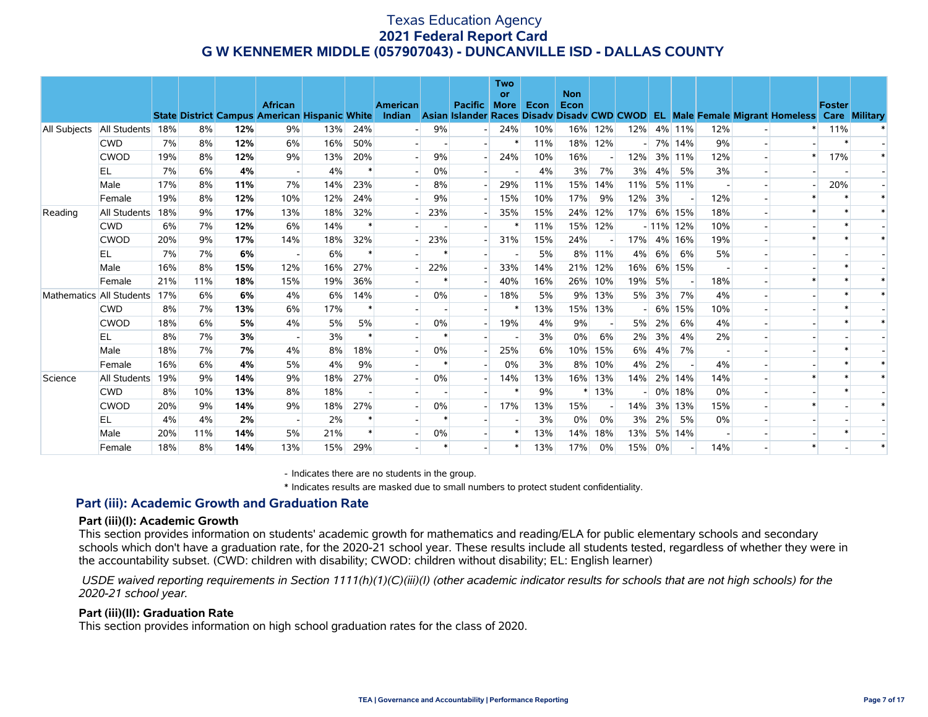|              |                          |     |     |     | <b>African</b><br><b>State District Campus American Hispanic White</b> |     |     | <b>American</b><br>Indian |       | <b>Pacific</b> | <b>Two</b><br><b>or</b><br><b>More</b> | Econ | <b>Non</b><br>Econ |                          |     |    |             |     | Asian Islander Races Disady Disady CWD CWOD EL Male Female Migrant Homeless | <b>Foster</b> | <b>Care Military</b> |
|--------------|--------------------------|-----|-----|-----|------------------------------------------------------------------------|-----|-----|---------------------------|-------|----------------|----------------------------------------|------|--------------------|--------------------------|-----|----|-------------|-----|-----------------------------------------------------------------------------|---------------|----------------------|
| All Subjects | All Students             | 18% | 8%  | 12% | 9%                                                                     | 13% | 24% |                           | 9%    |                | 24%                                    | 10%  |                    | 16% 12%                  | 12% |    | 4% 11%      | 12% |                                                                             | 11%           |                      |
|              | <b>CWD</b>               | 7%  | 8%  | 12% | 6%                                                                     | 16% | 50% |                           |       |                |                                        | 11%  | 18%                | 12%                      |     |    | 7% 14%      | 9%  |                                                                             |               |                      |
|              | <b>CWOD</b>              | 19% | 8%  | 12% | 9%                                                                     | 13% | 20% |                           | 9%    |                | 24%                                    | 10%  | 16%                |                          | 12% |    | 3% 11%      | 12% |                                                                             | 17%           |                      |
|              | EL                       | 7%  | 6%  | 4%  |                                                                        | 4%  |     |                           | 0%    |                |                                        | 4%   | 3%                 | 7%                       | 3%  | 4% | 5%          | 3%  |                                                                             |               |                      |
|              | Male                     | 17% | 8%  | 11% | 7%                                                                     | 14% | 23% |                           | 8%    |                | 29%                                    | 11%  | 15%                | 14%                      | 11% |    | 5% 11%      |     |                                                                             | 20%           |                      |
|              | Female                   | 19% | 8%  | 12% | 10%                                                                    | 12% | 24% |                           | 9%    |                | 15%                                    | 10%  | 17%                | 9%                       | 12% | 3% |             | 12% |                                                                             |               |                      |
| Reading      | All Students             | 18% | 9%  | 17% | 13%                                                                    | 18% | 32% |                           | 23%   |                | 35%                                    | 15%  | 24%                | 12%                      | 17% |    | 6% 15%      | 18% |                                                                             |               |                      |
|              | <b>CWD</b>               | 6%  | 7%  | 12% | 6%                                                                     | 14% |     |                           |       |                |                                        | 11%  |                    | 15% 12%                  |     |    | $-11\%$ 12% | 10% |                                                                             |               |                      |
|              | <b>CWOD</b>              | 20% | 9%  | 17% | 14%                                                                    | 18% | 32% |                           | 23%   |                | 31%                                    | 15%  | 24%                |                          | 17% |    | 4% 16%      | 19% |                                                                             |               |                      |
|              | EL                       | 7%  | 7%  | 6%  |                                                                        | 6%  |     |                           |       |                |                                        | 5%   | 8%                 | 11%                      | 4%  | 6% | 6%          | 5%  |                                                                             |               |                      |
|              | Male                     | 16% | 8%  | 15% | 12%                                                                    | 16% | 27% |                           | 22%   |                | 33%                                    | 14%  |                    | 21% 12%                  | 16% |    | 6% 15%      |     |                                                                             |               |                      |
|              | Female                   | 21% | 11% | 18% | 15%                                                                    | 19% | 36% |                           |       |                | 40%                                    | 16%  | 26%                | 10%                      | 19% | 5% |             | 18% |                                                                             |               |                      |
|              | Mathematics All Students | 17% | 6%  | 6%  | 4%                                                                     | 6%  | 14% |                           | 0%    |                | 18%                                    | 5%   | 9%                 | 13%                      | 5%  | 3% | 7%          | 4%  |                                                                             |               |                      |
|              | <b>CWD</b>               | 8%  | 7%  | 13% | 6%                                                                     | 17% |     |                           |       |                |                                        | 13%  |                    | 15% 13%                  |     |    | 6% 15%      | 10% |                                                                             |               |                      |
|              | <b>CWOD</b>              | 18% | 6%  | 5%  | 4%                                                                     | 5%  | 5%  |                           | $0\%$ |                | 19%                                    | 4%   | 9%                 | $\overline{\phantom{a}}$ | 5%  | 2% | 6%          | 4%  |                                                                             |               |                      |
|              | EL                       | 8%  | 7%  | 3%  |                                                                        | 3%  |     |                           |       |                |                                        | 3%   | 0%                 | 6%                       | 2%  | 3% | 4%          | 2%  |                                                                             |               |                      |
|              | Male                     | 18% | 7%  | 7%  | 4%                                                                     | 8%  | 18% |                           | 0%    |                | 25%                                    | 6%   | 10%                | 15%                      | 6%  | 4% | 7%          |     |                                                                             |               |                      |
|              | Female                   | 16% | 6%  | 4%  | 5%                                                                     | 4%  | 9%  |                           |       |                | 0%                                     | 3%   | 8%                 | 10%                      | 4%  | 2% |             | 4%  |                                                                             |               |                      |
| Science      | All Students             | 19% | 9%  | 14% | 9%                                                                     | 18% | 27% |                           | 0%    |                | 14%                                    | 13%  | 16%                | 13%                      | 14% |    | 2% 14%      | 14% |                                                                             |               |                      |
|              | <b>CWD</b>               | 8%  | 10% | 13% | 8%                                                                     | 18% |     |                           |       |                | $\ast$                                 | 9%   | $\ast$             | 13%                      |     |    | 0% 18%      | 0%  |                                                                             |               |                      |
|              | <b>CWOD</b>              | 20% | 9%  | 14% | 9%                                                                     | 18% | 27% |                           | 0%    |                | 17%                                    | 13%  | 15%                |                          | 14% |    | 3% 13%      | 15% |                                                                             |               |                      |
|              | EL                       | 4%  | 4%  | 2%  |                                                                        | 2%  |     |                           |       |                |                                        | 3%   | $0\%$              | 0%                       | 3%  | 2% | 5%          | 0%  |                                                                             |               |                      |
|              | Male                     | 20% | 11% | 14% | 5%                                                                     | 21% |     |                           | $0\%$ |                |                                        | 13%  | 14%                | 18%                      | 13% |    | 5% 14%      |     |                                                                             |               |                      |
|              | Female                   | 18% | 8%  | 14% | 13%                                                                    | 15% | 29% |                           |       |                |                                        | 13%  | 17%                | 0%                       | 15% | 0% |             | 14% |                                                                             |               |                      |

- Indicates there are no students in the group.

\* Indicates results are masked due to small numbers to protect student confidentiality.

#### **Part (iii): Academic Growth and Graduation Rate**

#### **Part (iii)(I): Academic Growth**

This section provides information on students' academic growth for mathematics and reading/ELA for public elementary schools and secondary schools which don't have a graduation rate, for the 2020-21 school year. These results include all students tested, regardless of whether they were in the accountability subset. (CWD: children with disability; CWOD: children without disability; EL: English learner)

 *USDE waived reporting requirements in Section 1111(h)(1)(C)(iii)(I) (other academic indicator results for schools that are not high schools) for the 2020-21 school year.*

#### **Part (iii)(II): Graduation Rate**

This section provides information on high school graduation rates for the class of 2020.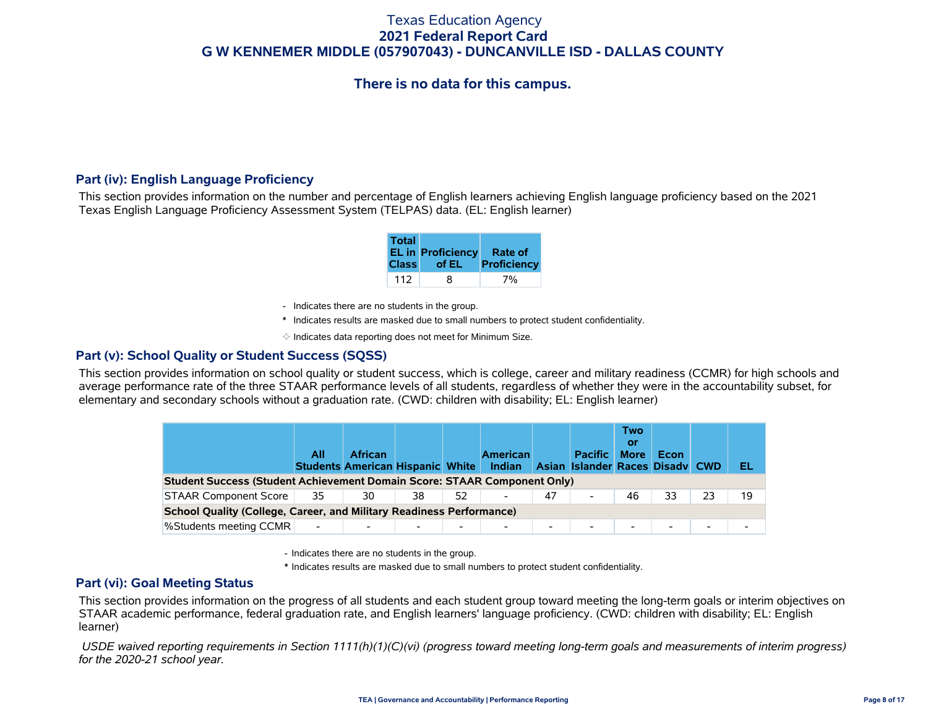# **There is no data for this campus.**

#### **Part (iv): English Language Proficiency**

This section provides information on the number and percentage of English learners achieving English language proficiency based on the 2021 Texas English Language Proficiency Assessment System (TELPAS) data. (EL: English learner)

| <b>Total</b> | EL in Proficiency Rate of<br>Class of EL | Proficiency |
|--------------|------------------------------------------|-------------|
| 112          | 8                                        | 7%          |

- Indicates there are no students in the group.
- \* Indicates results are masked due to small numbers to protect student confidentiality.
- $\diamond$  Indicates data reporting does not meet for Minimum Size.

#### **Part (v): School Quality or Student Success (SQSS)**

This section provides information on school quality or student success, which is college, career and military readiness (CCMR) for high schools and average performance rate of the three STAAR performance levels of all students, regardless of whether they were in the accountability subset, for elementary and secondary schools without a graduation rate. (CWD: children with disability; EL: English learner)

|                                                                                                                                                               | All                      | <b>African</b> |    |    | <b>American</b> |    | <b>Pacific</b>           | <b>Two</b><br>Οľ<br><b>More</b> | Econ                     |    | EL |  |  |  |
|---------------------------------------------------------------------------------------------------------------------------------------------------------------|--------------------------|----------------|----|----|-----------------|----|--------------------------|---------------------------------|--------------------------|----|----|--|--|--|
| Students American Hispanic White Indian<br>Asian Islander Races Disady CWD<br><b>Student Success (Student Achievement Domain Score: STAAR Component Only)</b> |                          |                |    |    |                 |    |                          |                                 |                          |    |    |  |  |  |
| <b>STAAR Component Score</b>                                                                                                                                  | 35                       | 30             | 38 | 52 | -               | 47 | $\overline{\phantom{a}}$ | 46                              | 33                       | 23 | 19 |  |  |  |
| <b>School Quality (College, Career, and Military Readiness Performance)</b>                                                                                   |                          |                |    |    |                 |    |                          |                                 |                          |    |    |  |  |  |
| %Students meeting CCMR                                                                                                                                        | $\overline{\phantom{a}}$ |                |    | ۰. | -               | -  | $\overline{\phantom{a}}$ |                                 | $\overline{\phantom{a}}$ | ۰. |    |  |  |  |

- Indicates there are no students in the group.

\* Indicates results are masked due to small numbers to protect student confidentiality.

#### **Part (vi): Goal Meeting Status**

This section provides information on the progress of all students and each student group toward meeting the long-term goals or interim objectives on STAAR academic performance, federal graduation rate, and English learners' language proficiency. (CWD: children with disability; EL: English learner)

 *USDE waived reporting requirements in Section 1111(h)(1)(C)(vi) (progress toward meeting long-term goals and measurements of interim progress) for the 2020-21 school year.*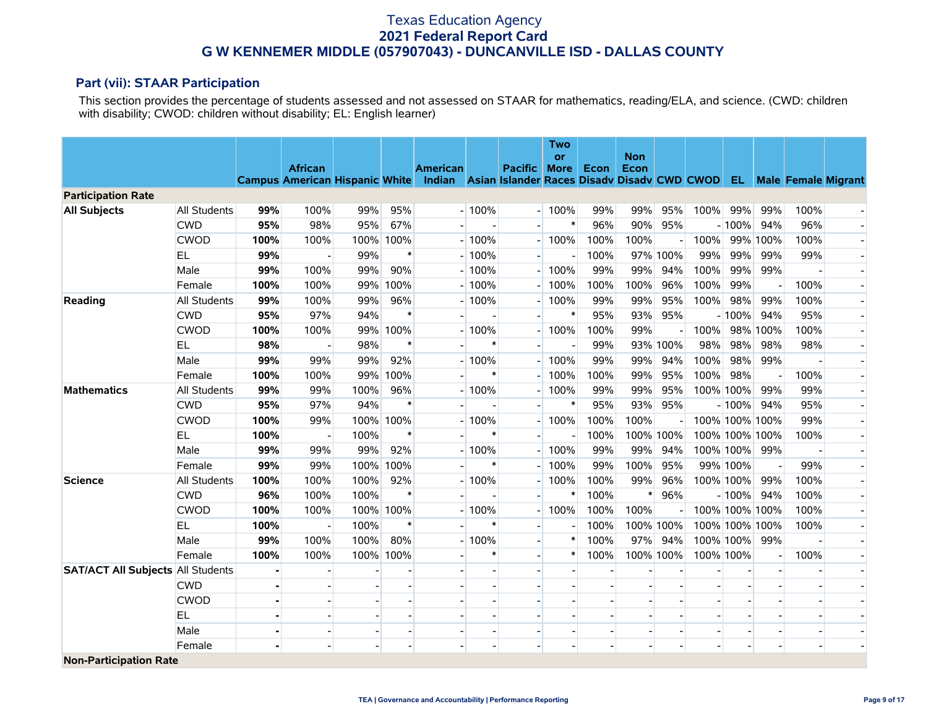#### **Part (vii): STAAR Participation**

This section provides the percentage of students assessed and not assessed on STAAR for mathematics, reading/ELA, and science. (CWD: children with disability; CWOD: children without disability; EL: English learner)

|                                          |                     |                |                |      |           |                                                                                                          |                |                          | <b>Two</b><br>or |      | <b>Non</b> |          |      |                |                          |                          |                          |
|------------------------------------------|---------------------|----------------|----------------|------|-----------|----------------------------------------------------------------------------------------------------------|----------------|--------------------------|------------------|------|------------|----------|------|----------------|--------------------------|--------------------------|--------------------------|
|                                          |                     |                | <b>African</b> |      |           | <b>American</b>                                                                                          |                | <b>Pacific</b>           | <b>More</b>      | Econ | Econ       |          |      |                |                          |                          |                          |
|                                          |                     |                |                |      |           | Campus American Hispanic White Indian Asian Islander Races Disadv Disadv CWD CWOD EL Male Female Migrant |                |                          |                  |      |            |          |      |                |                          |                          |                          |
| <b>Participation Rate</b>                |                     |                |                |      |           |                                                                                                          |                |                          |                  |      |            |          |      |                |                          |                          |                          |
| <b>All Subjects</b>                      | <b>All Students</b> | 99%            | 100%           | 99%  | 95%       |                                                                                                          | $-100%$        | $\overline{\phantom{a}}$ | 100%             | 99%  | 99%        | 95%      | 100% | 99%            | 99%                      | 100%                     |                          |
|                                          | <b>CWD</b>          | 95%            | 98%            | 95%  | 67%       |                                                                                                          |                |                          | $\ast$           | 96%  | 90%        | 95%      |      | $-100%$        | 94%                      | 96%                      |                          |
|                                          | <b>CWOD</b>         | 100%           | 100%           | 100% | 100%      |                                                                                                          | $-100%$        |                          | 100%             | 100% | 100%       |          | 100% |                | 99% 100%                 | 100%                     |                          |
|                                          | EL                  | 99%            |                | 99%  | $\ast$    |                                                                                                          | $-100%$        |                          |                  | 100% |            | 97% 100% | 99%  | 99%            | 99%                      | 99%                      |                          |
|                                          | Male                | 99%            | 100%           | 99%  | 90%       |                                                                                                          | $-100%$        |                          | 100%             | 99%  | 99%        | 94%      | 100% | 99%            | 99%                      |                          |                          |
|                                          | Female              | 100%           | 100%           | 99%  | 100%      |                                                                                                          | $-100%$        |                          | 100%             | 100% | 100%       | 96%      | 100% | 99%            |                          | 100%                     |                          |
| Reading                                  | <b>All Students</b> | 99%            | 100%           | 99%  | 96%       |                                                                                                          | $-100%$        |                          | 100%             | 99%  | 99%        | 95%      | 100% | 98%            | 99%                      | 100%                     | $\overline{\phantom{0}}$ |
|                                          | <b>CWD</b>          | 95%            | 97%            | 94%  | $\ast$    |                                                                                                          |                |                          | $\ast$           | 95%  | 93%        | 95%      |      | $-100%$        | 94%                      | 95%                      | $\overline{\phantom{a}}$ |
|                                          | <b>CWOD</b>         | 100%           | 100%           | 99%  | 100%      |                                                                                                          | $-100%$        |                          | 100%             | 100% | 99%        |          | 100% |                | 98% 100%                 | 100%                     |                          |
|                                          | <b>EL</b>           | 98%            |                | 98%  | $\ast$    |                                                                                                          |                |                          |                  | 99%  |            | 93% 100% | 98%  | 98%            | 98%                      | 98%                      |                          |
|                                          | Male                | 99%            | 99%            | 99%  | 92%       |                                                                                                          | $-100%$        |                          | 100%             | 99%  | 99%        | 94%      | 100% | 98%            | 99%                      |                          |                          |
|                                          | Female              | 100%           | 100%           | 99%  | 100%      |                                                                                                          | $\ast$         |                          | 100%             | 100% | 99%        | 95%      | 100% | 98%            | $\overline{\phantom{a}}$ | 100%                     |                          |
| <b>Mathematics</b>                       | All Students        | 99%            | 99%            | 100% | 96%       |                                                                                                          | $-100%$        |                          | 100%             | 99%  | 99%        | 95%      |      | 100% 100%      | 99%                      | 99%                      |                          |
|                                          | <b>CWD</b>          | 95%            | 97%            | 94%  | $\ast$    |                                                                                                          |                |                          | $\ast$           | 95%  | 93%        | 95%      |      | $-100%$        | 94%                      | 95%                      |                          |
|                                          | <b>CWOD</b>         | 100%           | 99%            |      | 100% 100% |                                                                                                          | $-100%$        |                          | 100%             | 100% | 100%       |          |      | 100% 100% 100% |                          | 99%                      |                          |
|                                          | EL.                 | 100%           |                | 100% | $\ast$    |                                                                                                          | $\ast$         | $\overline{\phantom{a}}$ |                  | 100% | 100% 100%  |          |      | 100% 100% 100% |                          | 100%                     |                          |
|                                          | Male                | 99%            | 99%            | 99%  | 92%       |                                                                                                          | $-100%$        |                          | 100%             | 99%  | 99%        | 94%      |      | 100% 100%      | 99%                      |                          |                          |
|                                          | Female              | 99%            | 99%            | 100% | 100%      |                                                                                                          | *              |                          | 100%             | 99%  | 100%       | 95%      |      | 99% 100%       |                          | 99%                      |                          |
| <b>Science</b>                           | <b>All Students</b> | 100%           | 100%           | 100% | 92%       |                                                                                                          | $-100%$        |                          | 100%             | 100% | 99%        | 96%      |      | 100% 100%      | 99%                      | 100%                     |                          |
|                                          | <b>CWD</b>          | 96%            | 100%           | 100% | $\ast$    |                                                                                                          |                |                          | $\ast$           | 100% | ∗          | 96%      |      | $-100%$        | 94%                      | 100%                     |                          |
|                                          | <b>CWOD</b>         | 100%           | 100%           |      | 100% 100% |                                                                                                          | $-100%$        |                          | 100%             | 100% | 100%       |          |      | 100% 100% 100% |                          | 100%                     |                          |
|                                          | EL                  | 100%           |                | 100% | $\ast$    |                                                                                                          | $\ast$         |                          |                  | 100% | 100% 100%  |          |      | 100% 100% 100% |                          | 100%                     |                          |
|                                          | Male                | 99%            | 100%           | 100% | 80%       |                                                                                                          | $-100%$        |                          | $\ast$           | 100% | 97%        | 94%      |      | 100% 100%      | 99%                      |                          |                          |
|                                          | Female              | 100%           | 100%           |      | 100% 100% |                                                                                                          | $\ast$         | $\overline{\phantom{a}}$ | $\ast$           | 100% | 100% 100%  |          |      | 100% 100%      | $\overline{\phantom{a}}$ | 100%                     |                          |
| <b>SAT/ACT All Subjects All Students</b> |                     |                |                |      |           |                                                                                                          |                | $\overline{\phantom{0}}$ |                  |      |            |          |      |                | $\overline{\phantom{a}}$ |                          |                          |
|                                          | <b>CWD</b>          |                |                |      |           |                                                                                                          |                |                          |                  |      |            |          |      |                |                          |                          |                          |
|                                          | <b>CWOD</b>         |                |                |      |           |                                                                                                          |                |                          |                  |      |            |          |      |                |                          |                          |                          |
|                                          | EL                  |                |                |      |           |                                                                                                          |                |                          |                  |      |            |          |      |                |                          |                          |                          |
|                                          | Male                | $\blacksquare$ |                |      |           |                                                                                                          | $\blacksquare$ | $\sim$                   | $\blacksquare$   |      |            |          |      |                | $\blacksquare$           | $\overline{\phantom{a}}$ |                          |
|                                          | Female              |                |                |      |           |                                                                                                          |                |                          |                  |      |            |          |      |                |                          |                          |                          |
| <b>Non-Participation Rate</b>            |                     |                |                |      |           |                                                                                                          |                |                          |                  |      |            |          |      |                |                          |                          |                          |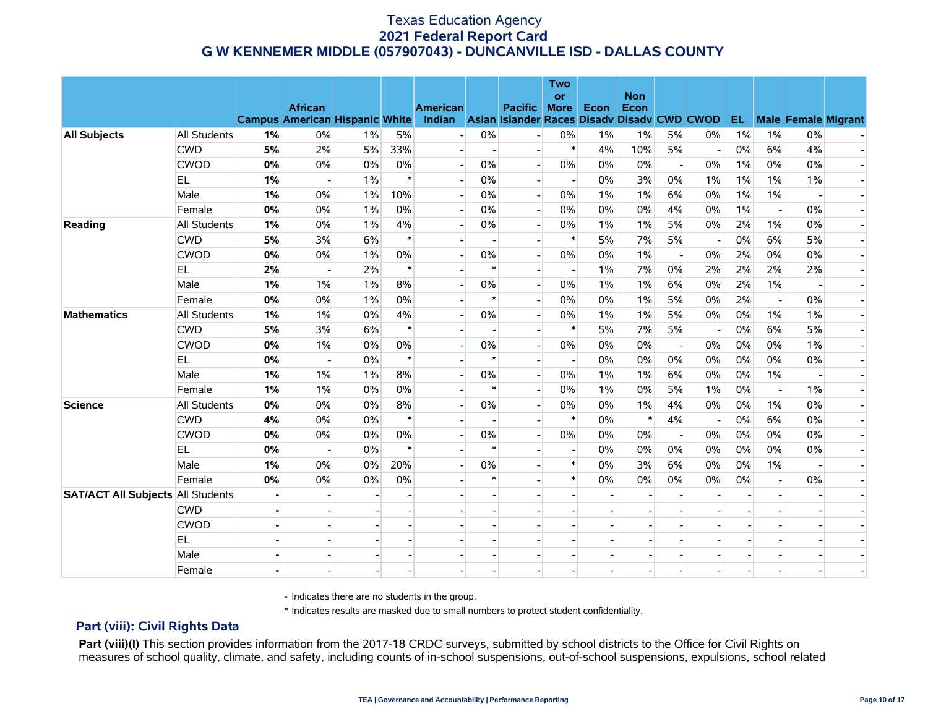|                                          |                     |    |                                                                                                     |       |        |                          |        |                          | <b>Two</b><br><b>or</b> |       | <b>Non</b> |                          |       |       |                          |                            |                          |
|------------------------------------------|---------------------|----|-----------------------------------------------------------------------------------------------------|-------|--------|--------------------------|--------|--------------------------|-------------------------|-------|------------|--------------------------|-------|-------|--------------------------|----------------------------|--------------------------|
|                                          |                     |    | <b>African</b><br>Campus American Hispanic White Indian Asian Islander Races Disadv Disadv CWD CWOD |       |        | <b>American</b>          |        | Pacific More             |                         | Econ  | Econ       |                          |       | EL.   |                          | <b>Male Female Migrant</b> |                          |
| <b>All Subjects</b>                      | <b>All Students</b> | 1% | 0%                                                                                                  | $1\%$ | 5%     |                          | 0%     |                          | 0%                      | $1\%$ | $1\%$      | 5%                       | $0\%$ | $1\%$ | $1\%$                    | 0%                         |                          |
|                                          | <b>CWD</b>          | 5% | 2%                                                                                                  | 5%    | 33%    | $\blacksquare$           |        | $\overline{a}$           | $\ast$                  | 4%    | 10%        | 5%                       |       | $0\%$ | 6%                       | 4%                         |                          |
|                                          | <b>CWOD</b>         | 0% | $0\%$                                                                                               | 0%    | 0%     | $\overline{a}$           | 0%     | $\overline{\phantom{a}}$ | 0%                      | $0\%$ | 0%         | $\blacksquare$           | 0%    | 1%    | 0%                       | 0%                         |                          |
|                                          | <b>EL</b>           | 1% |                                                                                                     | $1\%$ | $\ast$ |                          | 0%     | $\overline{a}$           |                         | 0%    | 3%         | 0%                       | $1\%$ | 1%    | 1%                       | $1\%$                      |                          |
|                                          | Male                | 1% | 0%                                                                                                  | $1\%$ | 10%    |                          | 0%     | $\blacksquare$           | 0%                      | 1%    | 1%         | 6%                       | 0%    | 1%    | $1\%$                    |                            |                          |
|                                          | Female              | 0% | 0%                                                                                                  | 1%    | 0%     |                          | 0%     | $\Box$                   | $0\%$                   | 0%    | 0%         | 4%                       | 0%    | 1%    | $\overline{\phantom{a}}$ | 0%                         | $\overline{\phantom{a}}$ |
| Reading                                  | <b>All Students</b> | 1% | 0%                                                                                                  | 1%    | 4%     | $\overline{\phantom{a}}$ | 0%     | $\overline{\phantom{a}}$ | 0%                      | $1\%$ | $1\%$      | 5%                       | 0%    | 2%    | $1\%$                    | 0%                         | $\overline{\phantom{a}}$ |
|                                          | <b>CWD</b>          | 5% | 3%                                                                                                  | 6%    | $\ast$ |                          |        | $\blacksquare$           | $\ast$                  | 5%    | 7%         | 5%                       |       | $0\%$ | 6%                       | 5%                         |                          |
|                                          | <b>CWOD</b>         | 0% | 0%                                                                                                  | $1\%$ | 0%     |                          | 0%     | $\blacksquare$           | 0%                      | $0\%$ | 1%         |                          | 0%    | 2%    | 0%                       | 0%                         |                          |
|                                          | EL.                 | 2% |                                                                                                     | 2%    | $\ast$ |                          | $\ast$ | $\overline{a}$           |                         | $1\%$ | 7%         | 0%                       | 2%    | 2%    | 2%                       | 2%                         |                          |
|                                          | Male                | 1% | $1\%$                                                                                               | $1\%$ | 8%     |                          | 0%     | $\overline{\phantom{a}}$ | $0\%$                   | $1\%$ | 1%         | 6%                       | 0%    | 2%    | $1\%$                    | $\overline{\phantom{a}}$   |                          |
|                                          | Female              | 0% | 0%                                                                                                  | 1%    | 0%     |                          | $\ast$ | $\overline{a}$           | 0%                      | $0\%$ | $1\%$      | 5%                       | 0%    | 2%    | $\overline{a}$           | 0%                         |                          |
| <b>Mathematics</b>                       | All Students        | 1% | $1\%$                                                                                               | 0%    | 4%     | $\blacksquare$           | 0%     | $\blacksquare$           | $0\%$                   | 1%    | 1%         | 5%                       | 0%    | $0\%$ | $1\%$                    | $1\%$                      |                          |
|                                          | <b>CWD</b>          | 5% | 3%                                                                                                  | 6%    | $\ast$ |                          |        |                          | $\ast$                  | 5%    | 7%         | 5%                       |       | $0\%$ | 6%                       | 5%                         |                          |
|                                          | <b>CWOD</b>         | 0% | $1\%$                                                                                               | 0%    | 0%     |                          | 0%     | $\overline{\phantom{a}}$ | 0%                      | $0\%$ | 0%         | $\overline{\phantom{a}}$ | $0\%$ | 0%    | 0%                       | $1\%$                      |                          |
|                                          | EL.                 | 0% |                                                                                                     | 0%    | $\ast$ |                          | $\ast$ |                          | $\blacksquare$          | 0%    | 0%         | 0%                       | $0\%$ | 0%    | 0%                       | $0\%$                      |                          |
|                                          | Male                | 1% | 1%                                                                                                  | $1\%$ | 8%     |                          | 0%     | $\overline{a}$           | $0\%$                   | $1\%$ | $1\%$      | 6%                       | $0\%$ | 0%    | $1\%$                    |                            |                          |
|                                          | Female              | 1% | 1%                                                                                                  | 0%    | 0%     |                          | $\ast$ | $\overline{a}$           | 0%                      | $1\%$ | 0%         | 5%                       | $1\%$ | 0%    | $\overline{a}$           | $1\%$                      | $\overline{\phantom{a}}$ |
| <b>Science</b>                           | All Students        | 0% | 0%                                                                                                  | $0\%$ | 8%     |                          | 0%     | $\mathbf{L}$             | 0%                      | $0\%$ | 1%         | 4%                       | 0%    | 0%    | $1\%$                    | $0\%$                      |                          |
|                                          | <b>CWD</b>          | 4% | 0%                                                                                                  | 0%    | $\ast$ |                          |        |                          | $\ast$                  | $0\%$ | $\ast$     | 4%                       |       | 0%    | 6%                       | $0\%$                      |                          |
|                                          | <b>CWOD</b>         | 0% | 0%                                                                                                  | 0%    | $0\%$  |                          | 0%     | $\overline{a}$           | $0\%$                   | $0\%$ | 0%         |                          | $0\%$ | $0\%$ | $0\%$                    | $0\%$                      |                          |
|                                          | EL.                 | 0% |                                                                                                     | 0%    | $\ast$ |                          | $\ast$ |                          |                         | $0\%$ | 0%         | 0%                       | $0\%$ | 0%    | 0%                       | 0%                         |                          |
|                                          | Male                | 1% | 0%                                                                                                  | 0%    | 20%    |                          | 0%     | $\overline{\phantom{a}}$ | $\ast$                  | $0\%$ | 3%         | 6%                       | $0\%$ | 0%    | $1\%$                    | $\overline{\phantom{a}}$   |                          |
|                                          | Female              | 0% | 0%                                                                                                  | 0%    | 0%     |                          | $\ast$ |                          | $\ast$                  | $0\%$ | 0%         | 0%                       | 0%    | $0\%$ | $\blacksquare$           | $0\%$                      |                          |
| <b>SAT/ACT All Subjects All Students</b> |                     |    |                                                                                                     |       |        |                          |        |                          |                         |       |            |                          |       |       |                          |                            |                          |
|                                          | <b>CWD</b>          |    |                                                                                                     |       |        |                          |        |                          |                         |       |            |                          |       |       |                          |                            |                          |
|                                          | <b>CWOD</b>         |    |                                                                                                     |       |        |                          |        | $\blacksquare$           |                         |       |            |                          |       |       |                          |                            |                          |
|                                          | EL.                 |    |                                                                                                     |       |        |                          |        |                          |                         |       |            |                          |       |       |                          |                            |                          |
|                                          | Male                |    |                                                                                                     |       |        |                          |        |                          |                         |       |            |                          |       |       |                          |                            |                          |
|                                          | Female              |    |                                                                                                     |       |        |                          |        |                          |                         |       |            |                          |       |       |                          |                            |                          |

- Indicates there are no students in the group.

\* Indicates results are masked due to small numbers to protect student confidentiality.

#### **Part (viii): Civil Rights Data**

Part (viii)(I) This section provides information from the 2017-18 CRDC surveys, submitted by school districts to the Office for Civil Rights on measures of school quality, climate, and safety, including counts of in-school suspensions, out-of-school suspensions, expulsions, school related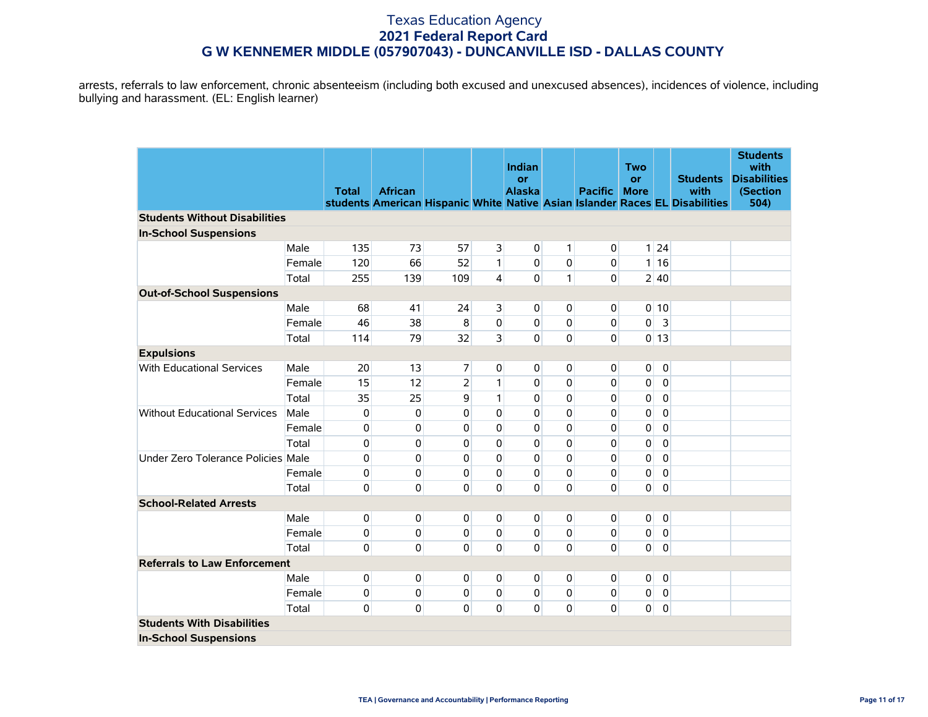arrests, referrals to law enforcement, chronic absenteeism (including both excused and unexcused absences), incidences of violence, including bullying and harassment. (EL: English learner)

|                                      |        |              |                |                |                | <b>Indian</b>       |              |                | Two                      |                   |                                                                              | <b>Students</b><br>with         |
|--------------------------------------|--------|--------------|----------------|----------------|----------------|---------------------|--------------|----------------|--------------------------|-------------------|------------------------------------------------------------------------------|---------------------------------|
|                                      |        | <b>Total</b> | <b>African</b> |                |                | or<br><b>Alaska</b> |              | <b>Pacific</b> | <b>or</b><br><b>More</b> |                   | <b>Students</b><br>with                                                      | <b>Disabilities</b><br>(Section |
|                                      |        |              |                |                |                |                     |              |                |                          |                   | students American Hispanic White Native Asian Islander Races EL Disabilities | 504)                            |
| <b>Students Without Disabilities</b> |        |              |                |                |                |                     |              |                |                          |                   |                                                                              |                                 |
| <b>In-School Suspensions</b>         |        |              |                |                |                |                     |              |                |                          |                   |                                                                              |                                 |
|                                      | Male   | 135          | 73             | 57             | $\overline{3}$ | $\overline{0}$      | $\mathbf{1}$ | $\overline{0}$ |                          | $1 \overline{24}$ |                                                                              |                                 |
|                                      | Female | 120          | 66             | 52             | 1              | 0                   | 0            | $\mathbf 0$    |                          | 1 16              |                                                                              |                                 |
|                                      | Total  | 255          | 139            | 109            | $\overline{4}$ | 0                   | $\mathbf{1}$ | $\Omega$       |                          | 2 40              |                                                                              |                                 |
| <b>Out-of-School Suspensions</b>     |        |              |                |                |                |                     |              |                |                          |                   |                                                                              |                                 |
|                                      | Male   | 68           | 41             | 24             | $\overline{3}$ | $\overline{0}$      | 0            | $\overline{0}$ |                          | $0$ 10            |                                                                              |                                 |
|                                      | Female | 46           | 38             | 8              | $\mathbf{0}$   | 0                   | $\mathbf 0$  | $\overline{0}$ | $\overline{0}$           | $\overline{3}$    |                                                                              |                                 |
|                                      | Total  | 114          | 79             | 32             | $\overline{3}$ | 0                   | $\mathbf 0$  | $\Omega$       |                          | 0 13              |                                                                              |                                 |
| <b>Expulsions</b>                    |        |              |                |                |                |                     |              |                |                          |                   |                                                                              |                                 |
| With Educational Services            | Male   | 20           | 13             | $\overline{7}$ | $\overline{0}$ | $\overline{0}$      | 0            | $\overline{0}$ | $\mathbf 0$              | $\mathbf 0$       |                                                                              |                                 |
|                                      | Female | 15           | 12             | $\overline{2}$ | 1              | $\Omega$            | $\mathbf 0$  | $\mathbf 0$    | 0                        | $\mathbf 0$       |                                                                              |                                 |
|                                      | Total  | 35           | 25             | 9              | $\mathbf{1}$   | 0                   | $\mathbf 0$  | $\mathbf 0$    | 0                        | $\mathbf 0$       |                                                                              |                                 |
| <b>Without Educational Services</b>  | Male   | 0            | 0              | 0              | 0              | $\Omega$            | $\mathbf 0$  | $\mathbf 0$    | $\pmb{0}$                | $\pmb{0}$         |                                                                              |                                 |
|                                      | Female | 0            | $\pmb{0}$      | $\Omega$       | $\Omega$       | $\Omega$            | $\mathbf 0$  | $\mathbf 0$    | $\pmb{0}$                | 0                 |                                                                              |                                 |
|                                      | Total  | 0            | 0              | 0              | $\Omega$       | 0                   | $\mathbf 0$  | $\mathbf 0$    | 0                        | $\pmb{0}$         |                                                                              |                                 |
| Under Zero Tolerance Policies Male   |        | 0            | $\pmb{0}$      | 0              | $\Omega$       | 0                   | $\mathbf 0$  | $\mathbf 0$    | $\pmb{0}$                | $\mathbf 0$       |                                                                              |                                 |
|                                      | Female | 0            | $\mathbf{0}$   | $\Omega$       | $\Omega$       | $\Omega$            | $\mathbf 0$  | $\overline{0}$ | 0                        | $\mathbf 0$       |                                                                              |                                 |
|                                      | Total  | 0            | $\mathbf{0}$   | $\Omega$       | $\Omega$       | $\Omega$            | $\mathbf 0$  | $\Omega$       | $\mathbf{0}$             | $\mathbf 0$       |                                                                              |                                 |
| <b>School-Related Arrests</b>        |        |              |                |                |                |                     |              |                |                          |                   |                                                                              |                                 |
|                                      | Male   | 0            | 0              | $\mathbf{0}$   | $\overline{0}$ | $\overline{0}$      | 0            | 0              | $\mathbf 0$              | $\mathbf 0$       |                                                                              |                                 |
|                                      | Female | 0            | 0              | $\pmb{0}$      | $\mathbf 0$    | $\mathbf 0$         | $\pmb{0}$    | $\overline{0}$ | 0                        | 0                 |                                                                              |                                 |
|                                      | Total  | 0            | $\pmb{0}$      | $\Omega$       | 0              | $\Omega$            | $\mathbf 0$  | $\overline{0}$ | $\mathbf{0}$             | $\pmb{0}$         |                                                                              |                                 |
| <b>Referrals to Law Enforcement</b>  |        |              |                |                |                |                     |              |                |                          |                   |                                                                              |                                 |
|                                      | Male   | 0            | 0              | 0              | 0              | $\pmb{0}$           | 0            | $\overline{0}$ | $\pmb{0}$                | $\overline{0}$    |                                                                              |                                 |
|                                      | Female | 0            | 0              | 0              | $\overline{0}$ | 0                   | 0            | $\overline{0}$ | 0                        | 0                 |                                                                              |                                 |
|                                      | Total  | 0            | 0              | 0              | $\mathbf{0}$   | $\mathbf{0}$        | 0            | $\overline{0}$ | $\mathbf 0$              | 0                 |                                                                              |                                 |
| <b>Students With Disabilities</b>    |        |              |                |                |                |                     |              |                |                          |                   |                                                                              |                                 |
| <b>In-School Suspensions</b>         |        |              |                |                |                |                     |              |                |                          |                   |                                                                              |                                 |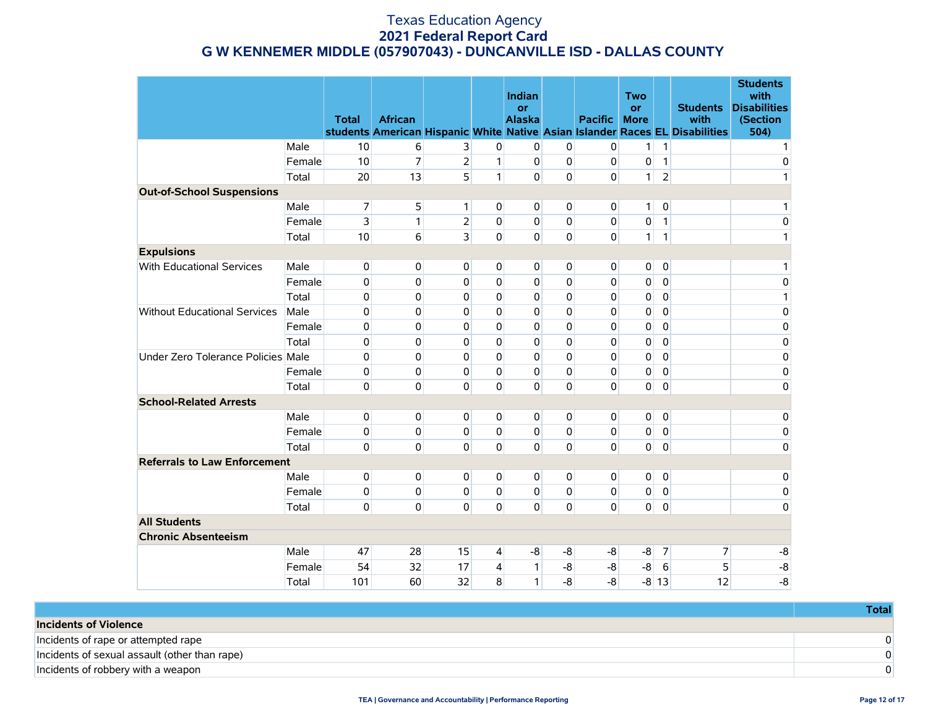|                                     |        | <b>Total</b> | <b>African</b> |                |                | Indian<br>or<br><b>Alaska</b> |             | <b>Pacific</b> | <b>Two</b><br><b>or</b><br><b>More</b> |                  | <b>Students</b><br>with<br>students American Hispanic White Native Asian Islander Races EL Disabilities | <b>Students</b><br>with<br><b>Disabilities</b><br>(Section<br>504) |
|-------------------------------------|--------|--------------|----------------|----------------|----------------|-------------------------------|-------------|----------------|----------------------------------------|------------------|---------------------------------------------------------------------------------------------------------|--------------------------------------------------------------------|
|                                     | Male   | 10           | 6              | 3              | $\overline{0}$ | 0                             | 0           | 0              | $\mathbf{1}$                           | $\mathbf{1}$     |                                                                                                         | 1                                                                  |
|                                     | Female | 10           | $\overline{7}$ | $\overline{2}$ | $\mathbf{1}$   | $\overline{0}$                | $\Omega$    | $\mathbf 0$    | 0                                      | $\mathbf{1}$     |                                                                                                         | $\pmb{0}$                                                          |
|                                     | Total  | 20           | 13             | 5              | $\mathbf{1}$   | $\Omega$                      | $\mathbf 0$ | $\mathbf 0$    | $\mathbf{1}$                           | $\overline{2}$   |                                                                                                         | 1                                                                  |
| <b>Out-of-School Suspensions</b>    |        |              |                |                |                |                               |             |                |                                        |                  |                                                                                                         |                                                                    |
|                                     | Male   | 7            | 5              | 1 <sup>1</sup> | $\Omega$       | $\overline{0}$                | 0           | 0              | $\mathbf{1}$                           | $\overline{0}$   |                                                                                                         | 1                                                                  |
|                                     | Female | 3            | $\mathbf{1}$   | $\overline{2}$ | $\Omega$       | $\Omega$                      | 0           | 0              | 0                                      | $\mathbf{1}$     |                                                                                                         | 0                                                                  |
|                                     | Total  | 10           | 6              | $\overline{3}$ | $\Omega$       | $\Omega$                      | $\Omega$    | $\Omega$       | $\mathbf{1}$                           | $\mathbf{1}$     |                                                                                                         | 1                                                                  |
| <b>Expulsions</b>                   |        |              |                |                |                |                               |             |                |                                        |                  |                                                                                                         |                                                                    |
| With Educational Services           | Male   | $\mathbf 0$  | $\mathbf{0}$   | $\mathbf{0}$   | $\overline{0}$ | $\overline{0}$                | 0           | 0              | $\overline{0}$                         | $\overline{0}$   |                                                                                                         | 1                                                                  |
|                                     | Female | $\mathbf 0$  | $\mathbf{0}$   | $\Omega$       | $\mathbf{0}$   | $\mathbf{0}$                  | $\mathbf 0$ | $\Omega$       | 0                                      | $\mathbf 0$      |                                                                                                         | 0                                                                  |
|                                     | Total  | $\mathbf 0$  | 0              | $\Omega$       | $\Omega$       | $\Omega$                      | $\Omega$    | 0              | 0                                      | $\mathbf 0$      |                                                                                                         | 1                                                                  |
| <b>Without Educational Services</b> | Male   | 0            | 0              | 0              | $\Omega$       | $\mathbf{0}$                  | 0           | 0              | 0                                      | $\overline{0}$   |                                                                                                         | 0                                                                  |
|                                     | Female | 0            | 0              | 0              | $\mathbf 0$    | 0                             | 0           | 0              | 0                                      | $\mathbf 0$      |                                                                                                         | 0                                                                  |
|                                     | Total  | 0            | 0              | 0              | $\mathbf 0$    | 0                             | $\mathbf 0$ | 0              | 0                                      | $\mathbf 0$      |                                                                                                         | 0                                                                  |
| Under Zero Tolerance Policies Male  |        | 0            | $\mathbf{0}$   | $\Omega$       | $\mathbf{0}$   | $\mathbf 0$                   | $\mathbf 0$ | 0              | 0                                      | $\Omega$         |                                                                                                         | 0                                                                  |
|                                     | Female | $\mathbf 0$  | 0              | $\Omega$       | $\mathbf{0}$   | $\Omega$                      | $\mathbf 0$ | 0              | 0                                      | $\mathbf 0$      |                                                                                                         | 0                                                                  |
|                                     | Total  | $\mathbf 0$  | 0              | $\Omega$       | $\Omega$       | $\Omega$                      | $\mathbf 0$ | $\Omega$       | 0                                      | $\mathbf 0$      |                                                                                                         | 0                                                                  |
| <b>School-Related Arrests</b>       |        |              |                |                |                |                               |             |                |                                        |                  |                                                                                                         |                                                                    |
|                                     | Male   | 0            | 0              | 0              | $\overline{0}$ | $\overline{0}$                | $\mathbf 0$ | 0              | 0                                      | $\overline{0}$   |                                                                                                         | 0                                                                  |
|                                     | Female | 0            | $\mathbf{0}$   | $\Omega$       | $\Omega$       | $\Omega$                      | $\Omega$    | $\mathbf 0$    | 0                                      | $\overline{0}$   |                                                                                                         | 0                                                                  |
|                                     | Total  | $\Omega$     | $\mathbf{0}$   | $\Omega$       | $\Omega$       | $\Omega$                      | $\mathbf 0$ | $\Omega$       | $\overline{0}$                         | $\mathbf 0$      |                                                                                                         | 0                                                                  |
| <b>Referrals to Law Enforcement</b> |        |              |                |                |                |                               |             |                |                                        |                  |                                                                                                         |                                                                    |
|                                     | Male   | 0            | $\mathbf{0}$   | $\mathbf{0}$   | $\overline{0}$ | 0                             | 0           | 0              | 0                                      | $\overline{0}$   |                                                                                                         | 0                                                                  |
|                                     | Female | 0            | 0              | $\mathbf{0}$   | $\overline{0}$ | $\mathbf 0$                   | $\mathbf 0$ | 0              | 0                                      | $\mathbf 0$      |                                                                                                         | 0                                                                  |
|                                     | Total  | $\Omega$     | $\mathbf{0}$   | $\Omega$       | $\Omega$       | $\Omega$                      | $\Omega$    | $\Omega$       | $\overline{0}$                         | $\mathbf 0$      |                                                                                                         | 0                                                                  |
| <b>All Students</b>                 |        |              |                |                |                |                               |             |                |                                        |                  |                                                                                                         |                                                                    |
| <b>Chronic Absenteeism</b>          |        |              |                |                |                |                               |             |                |                                        |                  |                                                                                                         |                                                                    |
|                                     | Male   | 47           | 28             | 15             | $\overline{4}$ | -8                            | -8          | -8             | -8                                     | $\overline{7}$   | 7                                                                                                       | -8                                                                 |
|                                     | Female | 54           | 32             | 17             | $\overline{4}$ | $\mathbf{1}$                  | $-8$        | -8             | $-8$                                   | $6 \overline{6}$ | 5                                                                                                       | $-8$                                                               |
|                                     | Total  | 101          | 60             | 32             | 8              | $\mathbf{1}$                  | $-8$        | $-8$           |                                        | $-8$ 13          | 12                                                                                                      | $-8$                                                               |

|                                               | Total |
|-----------------------------------------------|-------|
| Incidents of Violence                         |       |
| Incidents of rape or attempted rape           |       |
| Incidents of sexual assault (other than rape) |       |
| Incidents of robbery with a weapon            |       |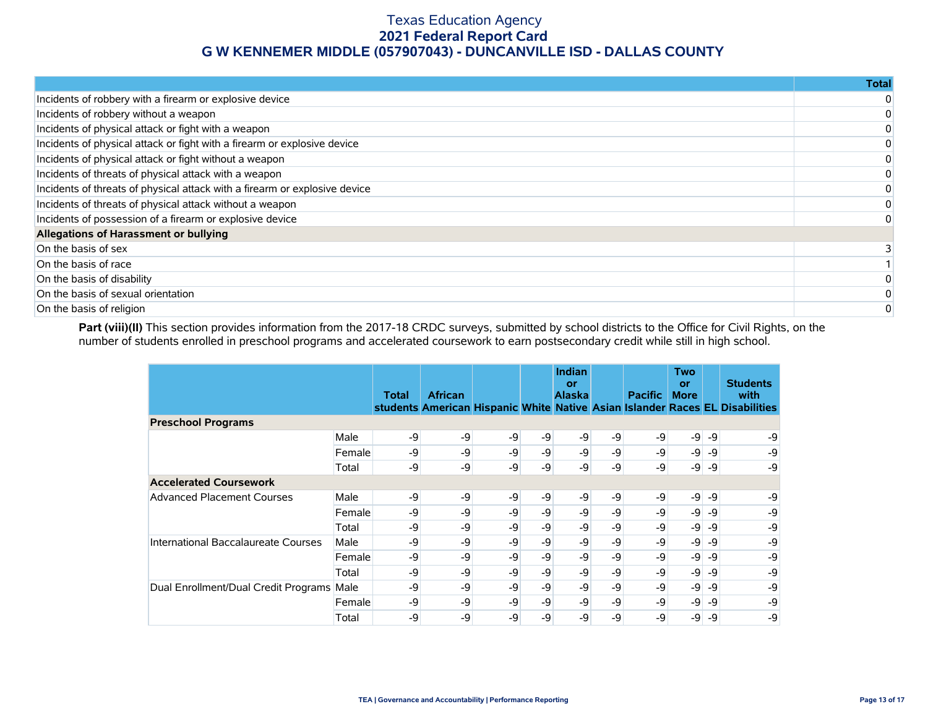|                                                                            | <b>Total</b> |
|----------------------------------------------------------------------------|--------------|
| Incidents of robbery with a firearm or explosive device                    |              |
| Incidents of robbery without a weapon                                      |              |
| Incidents of physical attack or fight with a weapon                        |              |
| Incidents of physical attack or fight with a firearm or explosive device   |              |
| Incidents of physical attack or fight without a weapon                     |              |
| Incidents of threats of physical attack with a weapon                      |              |
| Incidents of threats of physical attack with a firearm or explosive device |              |
| Incidents of threats of physical attack without a weapon                   |              |
| Incidents of possession of a firearm or explosive device                   |              |
| Allegations of Harassment or bullying                                      |              |
| On the basis of sex                                                        |              |
| On the basis of race                                                       |              |
| On the basis of disability                                                 |              |
| On the basis of sexual orientation                                         |              |
| On the basis of religion                                                   |              |

Part (viii)(II) This section provides information from the 2017-18 CRDC surveys, submitted by school districts to the Office for Civil Rights, on the number of students enrolled in preschool programs and accelerated coursework to earn postsecondary credit while still in high school.

|                                           |        | Total | <b>African</b> |      |       | <b>Indian</b><br>or<br><b>Alaska</b> |      | <b>Pacific</b> | <b>Two</b><br>or<br><b>More</b> |          | <b>Students</b><br>with<br>students American Hispanic White Native Asian Islander Races EL Disabilities |
|-------------------------------------------|--------|-------|----------------|------|-------|--------------------------------------|------|----------------|---------------------------------|----------|---------------------------------------------------------------------------------------------------------|
| <b>Preschool Programs</b>                 |        |       |                |      |       |                                      |      |                |                                 |          |                                                                                                         |
|                                           | Male   | -9    | -9             | -9   | $-9$  | -9                                   | -9   | -9             | $-9$                            | $-9$     | -9                                                                                                      |
|                                           | Female | -9    | -9             | $-9$ | $-9$  | -9                                   | -9   | -9             | -9                              | -9       | -9                                                                                                      |
|                                           | Total  | -9    | -9             | -9   | $-9'$ | -9                                   | -9   | -9             | $-9$                            | -9       | -9                                                                                                      |
| <b>Accelerated Coursework</b>             |        |       |                |      |       |                                      |      |                |                                 |          |                                                                                                         |
| <b>Advanced Placement Courses</b>         | Male   | -9    | -9             | $-9$ | $-9$  | $-9$                                 | $-9$ | $-9$           |                                 | $-9 - 9$ | -9                                                                                                      |
|                                           | Female | -9    | -9             | -9   | $-9$  | -9                                   | -9   | -9             | -9                              | -9       | -9                                                                                                      |
|                                           | Total  | -9    | -9             | -9   | $-9$  | -9                                   | -9   | -9             | -9                              | -9       | -9                                                                                                      |
| International Baccalaureate Courses       | Male   | -9    | -9             | -9   | -9    | -9                                   | -9   | -9             | -9                              | -9       | -9                                                                                                      |
|                                           | Female | -9    | -9             | $-9$ | $-9$  | -9                                   | $-9$ | -9             | -9                              | $-9$     | -9                                                                                                      |
|                                           | Total  | -9    | -9             | -9   | -9    | -9                                   | -9   | -9             | -9                              | -9       | -9                                                                                                      |
| Dual Enrollment/Dual Credit Programs Male |        | -9    | -9             | $-9$ | $-9$  | -9                                   | -9   | -9             | $-9$                            | -9       | -9                                                                                                      |
|                                           | Female | -9    | -9             | $-9$ | -9    | -9                                   | -9   | -9             | $-9$                            | -9       | -9                                                                                                      |
|                                           | Total  | $-9$  | $-9$           | $-9$ | $-Q$  | -9                                   | $-9$ | -9             | $-9$                            | $-9$     | -9                                                                                                      |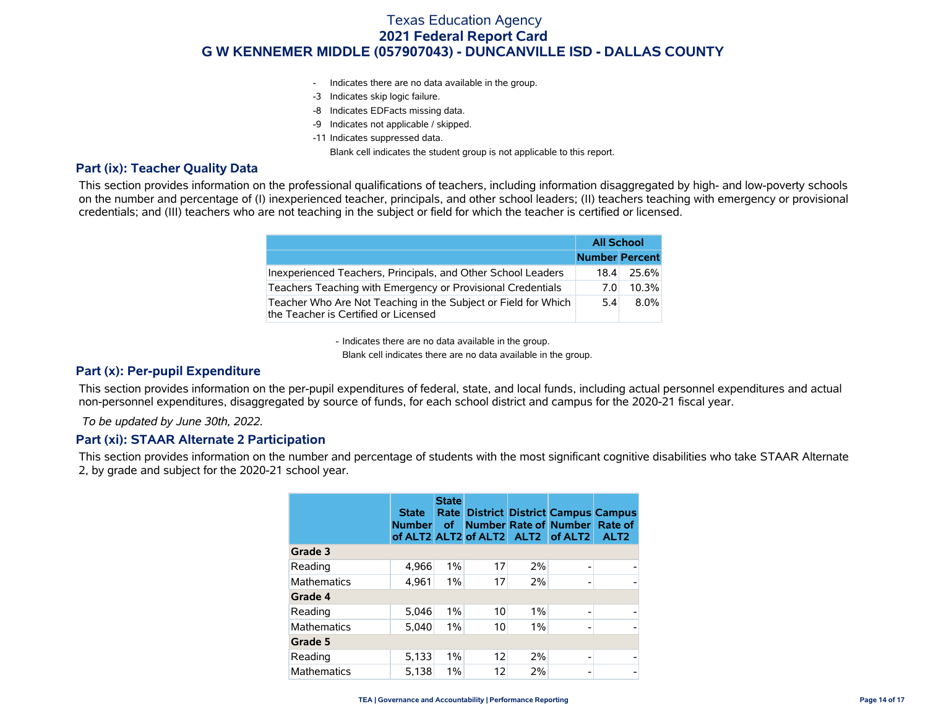- Indicates there are no data available in the group.
- -3 Indicates skip logic failure.
- -8 Indicates EDFacts missing data.
- -9 Indicates not applicable / skipped.
- -11 Indicates suppressed data.

Blank cell indicates the student group is not applicable to this report.

#### **Part (ix): Teacher Quality Data**

This section provides information on the professional qualifications of teachers, including information disaggregated by high- and low-poverty schools on the number and percentage of (I) inexperienced teacher, principals, and other school leaders; (II) teachers teaching with emergency or provisional credentials; and (III) teachers who are not teaching in the subject or field for which the teacher is certified or licensed.

|                                                                                                        | <b>All School</b>     |         |
|--------------------------------------------------------------------------------------------------------|-----------------------|---------|
|                                                                                                        | <b>Number Percent</b> |         |
| Inexperienced Teachers, Principals, and Other School Leaders                                           | 18.4                  | 25.6%   |
| Teachers Teaching with Emergency or Provisional Credentials                                            | 7.0                   | 10.3%   |
| Teacher Who Are Not Teaching in the Subject or Field for Which<br>the Teacher is Certified or Licensed | 5.4                   | $8.0\%$ |

- Indicates there are no data available in the group.

Blank cell indicates there are no data available in the group.

#### **Part (x): Per-pupil Expenditure**

This section provides information on the per-pupil expenditures of federal, state, and local funds, including actual personnel expenditures and actual non-personnel expenditures, disaggregated by source of funds, for each school district and campus for the 2020-21 fiscal year.

 *To be updated by June 30th, 2022.*

#### **Part (xi): STAAR Alternate 2 Participation**

This section provides information on the number and percentage of students with the most significant cognitive disabilities who take STAAR Alternate 2, by grade and subject for the 2020-21 school year.

|                    | <b>State</b><br><b>Number</b> | <b>State</b><br>Rate  <br><b>of</b> |    |       | <b>District District Campus Campus</b><br><b>Number Rate of Number</b><br>of ALT2 ALT2 of ALT2 ALT2 of ALT2 | Rate of<br>ALT <sub>2</sub> |
|--------------------|-------------------------------|-------------------------------------|----|-------|-------------------------------------------------------------------------------------------------------------|-----------------------------|
| Grade 3            |                               |                                     |    |       |                                                                                                             |                             |
| Reading            | 4,966                         | $1\%$                               | 17 | 2%    |                                                                                                             |                             |
| <b>Mathematics</b> | 4,961                         | 1%                                  | 17 | 2%    |                                                                                                             | $\overline{a}$              |
| Grade 4            |                               |                                     |    |       |                                                                                                             |                             |
| Reading            | 5.046                         | $1\%$                               | 10 | $1\%$ |                                                                                                             |                             |
| <b>Mathematics</b> | 5,040                         | 1%                                  | 10 | $1\%$ |                                                                                                             | $\overline{a}$              |
| Grade 5            |                               |                                     |    |       |                                                                                                             |                             |
| Reading            | 5,133                         | 1%                                  | 12 | 2%    |                                                                                                             | $\overline{a}$              |
| <b>Mathematics</b> | 5,138                         | $1\%$                               | 12 | 2%    |                                                                                                             | -                           |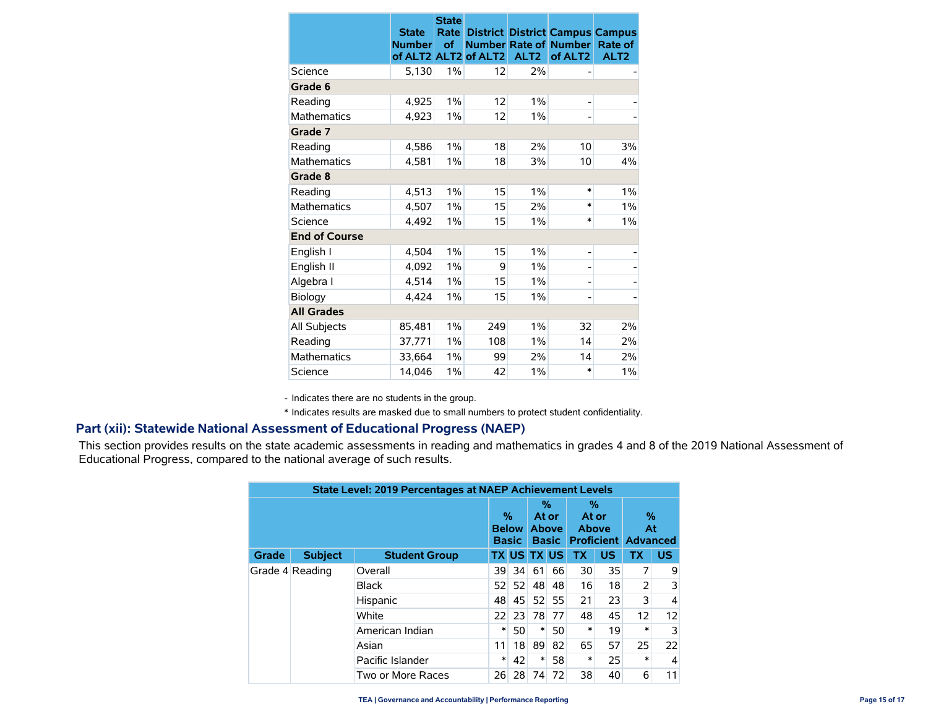|                      | <b>State</b><br><b>Number</b><br>of ALT2 ALT2 | <b>State</b><br>Rate<br>of | of ALT2 | ALT <sub>2</sub> | <b>District District Campus Campus</b><br><b>Number Rate of Number</b><br>of ALT <sub>2</sub> | Rate of<br>ALT <sub>2</sub> |
|----------------------|-----------------------------------------------|----------------------------|---------|------------------|-----------------------------------------------------------------------------------------------|-----------------------------|
| Science              | 5,130                                         | 1%                         | 12      | 2%               |                                                                                               |                             |
| Grade 6              |                                               |                            |         |                  |                                                                                               |                             |
| Reading              | 4,925                                         | 1%                         | 12      | 1%               | -                                                                                             |                             |
| <b>Mathematics</b>   | 4,923                                         | 1%                         | 12      | 1%               |                                                                                               |                             |
| Grade 7              |                                               |                            |         |                  |                                                                                               |                             |
| Reading              | 4,586                                         | $1\%$                      | 18      | 2%               | 10                                                                                            | 3%                          |
| <b>Mathematics</b>   | 4,581                                         | $1\%$                      | 18      | 3%               | 10                                                                                            | 4%                          |
| Grade 8              |                                               |                            |         |                  |                                                                                               |                             |
| Reading              | 4,513                                         | $1\%$                      | 15      | $1\%$            | $\ast$                                                                                        | $1\%$                       |
| <b>Mathematics</b>   | 4,507                                         | 1%                         | 15      | 2%               | $\ast$                                                                                        | $1\%$                       |
| Science              | 4,492                                         | $1\%$                      | 15      | 1%               | *                                                                                             | 1%                          |
| <b>End of Course</b> |                                               |                            |         |                  |                                                                                               |                             |
| English I            | 4,504                                         | $1\%$                      | 15      | $1\%$            | -                                                                                             |                             |
| English II           | 4,092                                         | 1%                         | 9       | 1%               | -                                                                                             |                             |
| Algebra I            | 4,514                                         | $1\%$                      | 15      | 1%               | -                                                                                             |                             |
| Biology              | 4,424                                         | 1%                         | 15      | 1%               | -                                                                                             |                             |
| <b>All Grades</b>    |                                               |                            |         |                  |                                                                                               |                             |
| All Subjects         | 85,481                                        | 1%                         | 249     | 1%               | 32                                                                                            | 2%                          |
| Reading              | 37,771                                        | 1%                         | 108     | 1%               | 14                                                                                            | 2%                          |
| <b>Mathematics</b>   | 33,664                                        | 1%                         | 99      | 2%               | 14                                                                                            | 2%                          |
| Science              | 14,046                                        | 1%                         | 42      | 1%               | $\ast$                                                                                        | 1%                          |

- Indicates there are no students in the group.

\* Indicates results are masked due to small numbers to protect student confidentiality.

#### **Part (xii): Statewide National Assessment of Educational Progress (NAEP)**

This section provides results on the state academic assessments in reading and mathematics in grades 4 and 8 of the 2019 National Assessment of Educational Progress, compared to the national average of such results.

|              | <b>State Level: 2019 Percentages at NAEP Achievement Levels</b> |                      |    |                                   |    |                                            |           |                                                   |           |           |  |  |  |
|--------------|-----------------------------------------------------------------|----------------------|----|-----------------------------------|----|--------------------------------------------|-----------|---------------------------------------------------|-----------|-----------|--|--|--|
|              |                                                                 |                      |    | %<br><b>Below</b><br><b>Basic</b> |    | %<br>At or<br><b>Above</b><br><b>Basic</b> |           | %<br>At or<br>Above<br><b>Proficient Advanced</b> |           | %<br>At   |  |  |  |
| <b>Grade</b> | <b>Subject</b>                                                  | <b>Student Group</b> |    |                                   |    | <b>TX US TX US</b>                         | <b>TX</b> | <b>US</b>                                         | <b>TX</b> | <b>US</b> |  |  |  |
|              | Grade 4 Reading                                                 | Overall              | 39 | 34                                | 61 | 66                                         | 30        | 35                                                | 7         | 9         |  |  |  |
|              |                                                                 | <b>Black</b>         | 52 | 52                                | 48 | 48                                         | 16        | 18                                                | 2         | 3         |  |  |  |
|              |                                                                 | Hispanic             | 48 | 45                                | 52 | 55                                         | 21        | 23                                                | 3         | 4         |  |  |  |
|              |                                                                 | White                | 22 | 23                                | 78 | 77                                         | 48        | 45                                                | 12        | 12        |  |  |  |
|              |                                                                 | American Indian      | ∗  | 50                                | ∗  | 50                                         | ∗         | 19                                                | $\ast$    | 3         |  |  |  |
|              |                                                                 | Asian                | 11 | 18                                | 89 | 82                                         | 65        | 57                                                | 25        | 22        |  |  |  |
|              |                                                                 | Pacific Islander     | ∗  | 42                                | ∗  | 58                                         | *         | 25                                                | $\ast$    | 4         |  |  |  |
|              |                                                                 | Two or More Races    | 26 | 28                                | 74 | 72                                         | 38        | 40                                                | 6         | 11        |  |  |  |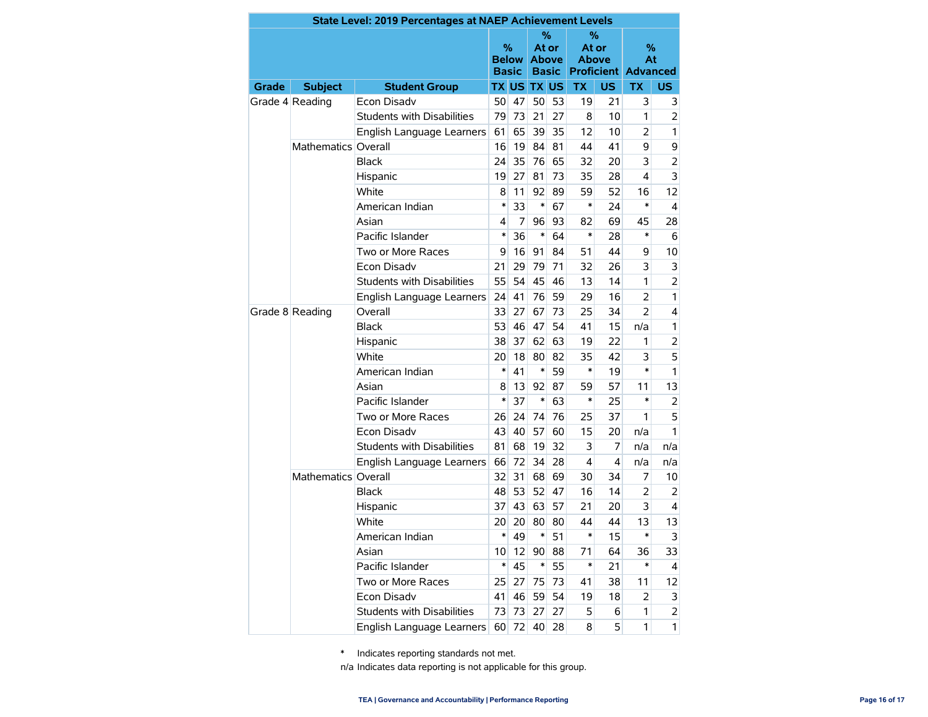|                 |                                                                  | <b>State Level: 2019 Percentages at NAEP Achievement Levels</b> |        |                                   |                    |                                   |                       |     |                                                                      |                |
|-----------------|------------------------------------------------------------------|-----------------------------------------------------------------|--------|-----------------------------------|--------------------|-----------------------------------|-----------------------|-----|----------------------------------------------------------------------|----------------|
|                 |                                                                  |                                                                 |        | %<br><b>Below</b><br><b>Basic</b> | At or              | ℅<br><b>Above</b><br><b>Basic</b> | At or<br><b>Above</b> | %   | %<br>At<br><b>Proficient Advanced</b>                                |                |
| Grade           | <b>Subject</b>                                                   | <b>Student Group</b>                                            |        |                                   | <b>TX US TX US</b> |                                   | <b>TX</b>             | US. | <b>TX</b>                                                            | <b>US</b>      |
|                 | Grade 4 Reading                                                  | Econ Disadv                                                     | 50     | 47                                | 50                 | 53                                | 19                    | 21  | 3                                                                    | 3              |
|                 |                                                                  | <b>Students with Disabilities</b>                               | 79     | 73                                | 21                 | 27                                | 8                     | 10  | 1                                                                    | $\overline{2}$ |
|                 |                                                                  | English Language Learners                                       | 61     | 65                                | 39                 | 35                                | 12                    | 10  | 2                                                                    | 1              |
|                 | Mathematics Overall                                              |                                                                 | 16     | 19                                | 84                 | 81                                | 44                    | 41  | 9                                                                    | 9              |
|                 |                                                                  | <b>Black</b>                                                    | 24     | 35                                | 76                 | 65                                | 32                    | 20  | 3                                                                    | $\overline{2}$ |
|                 |                                                                  | Hispanic                                                        |        | 27                                | 81                 | 73                                | 35                    | 28  | 4                                                                    | 3              |
|                 |                                                                  | White                                                           |        | 11                                | 92                 | 89                                | 59                    | 52  | 16                                                                   | 12             |
|                 |                                                                  | American Indian                                                 |        | 33                                | $\ast$             | 67                                | *                     | 24  | $\ast$                                                               | 4              |
|                 |                                                                  | Asian                                                           | 4      | 7                                 | 96                 | 93                                | 82                    | 69  | 45                                                                   | 28             |
|                 |                                                                  | Pacific Islander                                                | $\ast$ | 36                                | $\ast$             | 64                                | *                     | 28  | $\ast$                                                               | 6              |
|                 |                                                                  | Two or More Races                                               | 9      | 16                                | 91                 | 84                                | 51                    | 44  | 9                                                                    | 10             |
|                 |                                                                  | Econ Disadv                                                     |        | 29                                | 79                 | 71                                | 32                    | 26  | 3                                                                    | 3              |
|                 |                                                                  | <b>Students with Disabilities</b>                               | 55     | 54                                | 45                 | 46                                | 13                    | 14  | 1                                                                    | $\overline{2}$ |
|                 |                                                                  | English Language Learners                                       | 24     | 41                                | 76                 | 59                                | 29                    | 16  | $\overline{2}$                                                       | 1              |
| Grade 8 Reading |                                                                  | Overall                                                         | 33     | 27                                | 67                 | 73                                | 25                    | 34  | $\overline{2}$                                                       | $\overline{4}$ |
|                 |                                                                  | Black                                                           | 53     | 46                                | 47                 | 54                                | 41                    | 15  | n/a                                                                  | 1              |
|                 |                                                                  | Hispanic                                                        | 38     | 37                                | 62                 | 63                                | 19                    | 22  | 1                                                                    | $\overline{2}$ |
|                 |                                                                  | White                                                           | 20     | 18                                | 80                 | 82                                | 35                    | 42  | 3                                                                    | 5              |
|                 |                                                                  | American Indian                                                 |        | 41                                | $\ast$             | 59                                | *                     | 19  | *                                                                    | 1              |
|                 |                                                                  | Asian                                                           | 8      | 13                                | 92                 | 87                                | 59                    | 57  | 11                                                                   | 13             |
|                 |                                                                  | Pacific Islander                                                | $\ast$ | 37                                | $\ast$             | 63                                | *                     | 25  | *                                                                    | 2              |
|                 |                                                                  | Two or More Races                                               | 26     | 24                                | 74                 | 76                                | 25                    | 37  | 1                                                                    | 5              |
|                 |                                                                  | Econ Disadv                                                     | 43     | 40                                | 57                 | 60                                | 15                    | 20  | n/a                                                                  | 1              |
|                 |                                                                  | <b>Students with Disabilities</b>                               | 81     | 68                                | 19                 | 32                                | 3                     | 7   | n/a<br>4<br>n/a<br>7<br>2<br>3<br>13<br>*<br>36<br>$\ast$<br>11<br>2 | n/a            |
|                 | $\ast$<br>English Language Learners<br>66<br>Mathematics Overall | 72                                                              | 34     | 28                                | 4                  |                                   |                       | n/a |                                                                      |                |
|                 |                                                                  |                                                                 | 32     | 31                                | 68                 | 69                                | 30                    | 34  |                                                                      | 10             |
|                 |                                                                  | <b>Black</b>                                                    | 48     | 53                                | 52                 | 47                                | 16                    | 14  |                                                                      | 2              |
|                 |                                                                  | Hispanic                                                        | 37     | 43                                | 63                 | 57                                | 21                    | 20  |                                                                      | 4              |
|                 |                                                                  | White                                                           | 20     | 20                                | 80                 | 80                                | 44                    | 44  |                                                                      | 13             |
|                 |                                                                  | American Indian                                                 | *      | 49                                | ∗                  | 51                                | *                     | 15  |                                                                      | 3              |
|                 |                                                                  | Asian                                                           | 10     | 12                                | 90                 | 88                                | 71                    | 64  |                                                                      | 33             |
|                 |                                                                  | Pacific Islander                                                | $\ast$ | 45                                | $\ast$             | 55                                | $\ast$                | 21  |                                                                      | 4              |
|                 |                                                                  | Two or More Races                                               | 25     | 27                                | 75                 | 73                                | 41                    | 38  |                                                                      | 12             |
|                 |                                                                  | Econ Disadv                                                     | 41     | 46                                | 59                 | 54                                | 19                    | 18  |                                                                      | 3              |
|                 |                                                                  | Students with Disabilities                                      | 73     | 73                                | 27                 | 27                                | 5                     | 6   | 1                                                                    | $\overline{2}$ |
|                 |                                                                  | English Language Learners                                       |        | 60 72                             | 40                 | 28                                | 8                     | 5   | 1                                                                    | $\mathbf{1}$   |

\* Indicates reporting standards not met.

n/a Indicates data reporting is not applicable for this group.